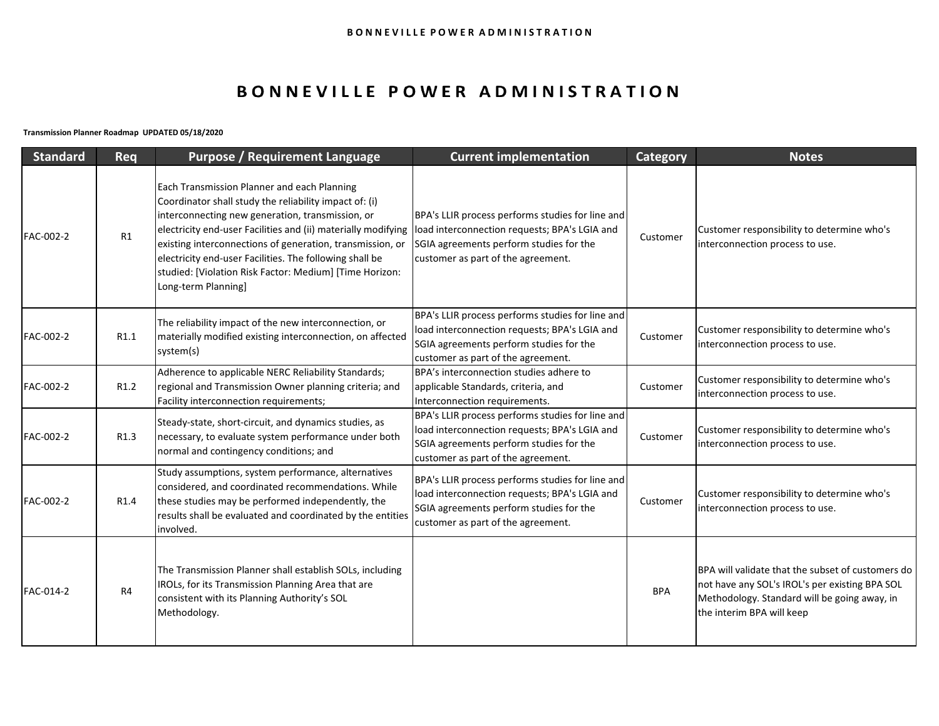# BONNEVILLE POWER ADMINISTRATION

**Transmission Planner Roadmap UPDATED 05/18/2020**

| <b>Standard</b> | Req              | <b>Purpose / Requirement Language</b>                                                                                                                                                                                                                                                                                                                                                                                                | <b>Current implementation</b>                                                                                                                                                      | Category   | <b>Notes</b>                                                                                                                                                                     |
|-----------------|------------------|--------------------------------------------------------------------------------------------------------------------------------------------------------------------------------------------------------------------------------------------------------------------------------------------------------------------------------------------------------------------------------------------------------------------------------------|------------------------------------------------------------------------------------------------------------------------------------------------------------------------------------|------------|----------------------------------------------------------------------------------------------------------------------------------------------------------------------------------|
| FAC-002-2       | R1               | Each Transmission Planner and each Planning<br>Coordinator shall study the reliability impact of: (i)<br>interconnecting new generation, transmission, or<br>electricity end-user Facilities and (ii) materially modifying<br>existing interconnections of generation, transmission, or<br>electricity end-user Facilities. The following shall be<br>studied: [Violation Risk Factor: Medium] [Time Horizon:<br>Long-term Planning] | BPA's LLIR process performs studies for line and<br>load interconnection requests; BPA's LGIA and<br>SGIA agreements perform studies for the<br>customer as part of the agreement. | Customer   | Customer responsibility to determine who's<br>interconnection process to use.                                                                                                    |
| FAC-002-2       | R1.1             | The reliability impact of the new interconnection, or<br>materially modified existing interconnection, on affected<br>system(s)                                                                                                                                                                                                                                                                                                      | BPA's LLIR process performs studies for line and<br>load interconnection requests; BPA's LGIA and<br>SGIA agreements perform studies for the<br>customer as part of the agreement. | Customer   | Customer responsibility to determine who's<br>interconnection process to use.                                                                                                    |
| FAC-002-2       | R1.2             | Adherence to applicable NERC Reliability Standards;<br>regional and Transmission Owner planning criteria; and<br>Facility interconnection requirements;                                                                                                                                                                                                                                                                              | BPA's interconnection studies adhere to<br>applicable Standards, criteria, and<br>Interconnection requirements.                                                                    | Customer   | Customer responsibility to determine who's<br>interconnection process to use.                                                                                                    |
| FAC-002-2       | R <sub>1.3</sub> | Steady-state, short-circuit, and dynamics studies, as<br>necessary, to evaluate system performance under both<br>normal and contingency conditions; and                                                                                                                                                                                                                                                                              | BPA's LLIR process performs studies for line and<br>load interconnection requests; BPA's LGIA and<br>SGIA agreements perform studies for the<br>customer as part of the agreement. | Customer   | Customer responsibility to determine who's<br>interconnection process to use.                                                                                                    |
| FAC-002-2       | R <sub>1.4</sub> | Study assumptions, system performance, alternatives<br>considered, and coordinated recommendations. While<br>these studies may be performed independently, the<br>results shall be evaluated and coordinated by the entities<br>involved.                                                                                                                                                                                            | BPA's LLIR process performs studies for line and<br>load interconnection requests; BPA's LGIA and<br>SGIA agreements perform studies for the<br>customer as part of the agreement. | Customer   | Customer responsibility to determine who's<br>interconnection process to use.                                                                                                    |
| FAC-014-2       | R <sub>4</sub>   | The Transmission Planner shall establish SOLs, including<br>IROLs, for its Transmission Planning Area that are<br>consistent with its Planning Authority's SOL<br>Methodology.                                                                                                                                                                                                                                                       |                                                                                                                                                                                    | <b>BPA</b> | BPA will validate that the subset of customers do<br>not have any SOL's IROL's per existing BPA SOL<br>Methodology. Standard will be going away, in<br>the interim BPA will keep |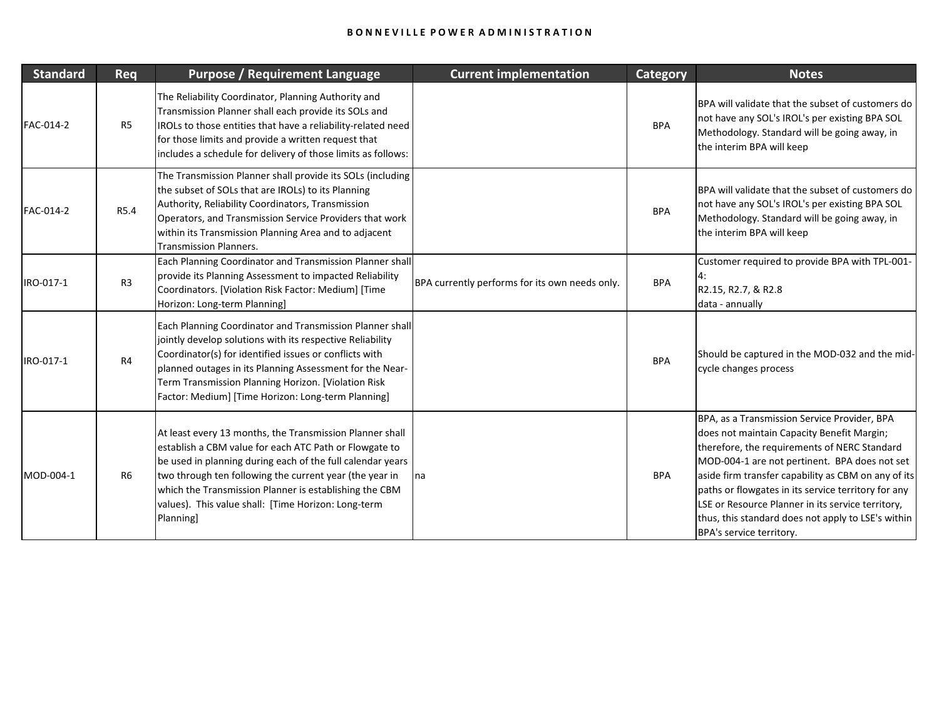| <b>Standard</b> | Req            | <b>Purpose / Requirement Language</b>                                                                                                                                                                                                                                                                                                                                    | <b>Current implementation</b>                  | <b>Category</b> | <b>Notes</b>                                                                                                                                                                                                                                                                                                                                                                                                                                     |
|-----------------|----------------|--------------------------------------------------------------------------------------------------------------------------------------------------------------------------------------------------------------------------------------------------------------------------------------------------------------------------------------------------------------------------|------------------------------------------------|-----------------|--------------------------------------------------------------------------------------------------------------------------------------------------------------------------------------------------------------------------------------------------------------------------------------------------------------------------------------------------------------------------------------------------------------------------------------------------|
| FAC-014-2       | R <sub>5</sub> | The Reliability Coordinator, Planning Authority and<br>Transmission Planner shall each provide its SOLs and<br>IROLs to those entities that have a reliability-related need<br>for those limits and provide a written request that<br>includes a schedule for delivery of those limits as follows:                                                                       |                                                | <b>BPA</b>      | BPA will validate that the subset of customers do<br>not have any SOL's IROL's per existing BPA SOL<br>Methodology. Standard will be going away, in<br>the interim BPA will keep                                                                                                                                                                                                                                                                 |
| FAC-014-2       | R5.4           | The Transmission Planner shall provide its SOLs (including<br>the subset of SOLs that are IROLs) to its Planning<br>Authority, Reliability Coordinators, Transmission<br>Operators, and Transmission Service Providers that work<br>within its Transmission Planning Area and to adjacent<br><b>Transmission Planners.</b>                                               |                                                | <b>BPA</b>      | BPA will validate that the subset of customers do<br>not have any SOL's IROL's per existing BPA SOL<br>Methodology. Standard will be going away, in<br>the interim BPA will keep                                                                                                                                                                                                                                                                 |
| IRO-017-1       | R <sub>3</sub> | Each Planning Coordinator and Transmission Planner shall<br>provide its Planning Assessment to impacted Reliability<br>Coordinators. [Violation Risk Factor: Medium] [Time<br>Horizon: Long-term Planning]                                                                                                                                                               | BPA currently performs for its own needs only. | <b>BPA</b>      | Customer required to provide BPA with TPL-001-<br>4:<br>R2.15, R2.7, & R2.8<br>data - annually                                                                                                                                                                                                                                                                                                                                                   |
| IRO-017-1       | R <sub>4</sub> | Each Planning Coordinator and Transmission Planner shall<br>jointly develop solutions with its respective Reliability<br>Coordinator(s) for identified issues or conflicts with<br>planned outages in its Planning Assessment for the Near-<br>Term Transmission Planning Horizon. [Violation Risk<br>Factor: Medium] [Time Horizon: Long-term Planning]                 |                                                | <b>BPA</b>      | Should be captured in the MOD-032 and the mid-<br>cycle changes process                                                                                                                                                                                                                                                                                                                                                                          |
| MOD-004-1       | R6             | At least every 13 months, the Transmission Planner shall<br>establish a CBM value for each ATC Path or Flowgate to<br>be used in planning during each of the full calendar years<br>two through ten following the current year (the year in<br>which the Transmission Planner is establishing the CBM<br>values). This value shall: [Time Horizon: Long-term<br>Planning | na                                             | <b>BPA</b>      | BPA, as a Transmission Service Provider, BPA<br>does not maintain Capacity Benefit Margin;<br>therefore, the requirements of NERC Standard<br>MOD-004-1 are not pertinent. BPA does not set<br>aside firm transfer capability as CBM on any of its<br>paths or flowgates in its service territory for any<br>LSE or Resource Planner in its service territory,<br>thus, this standard does not apply to LSE's within<br>BPA's service territory. |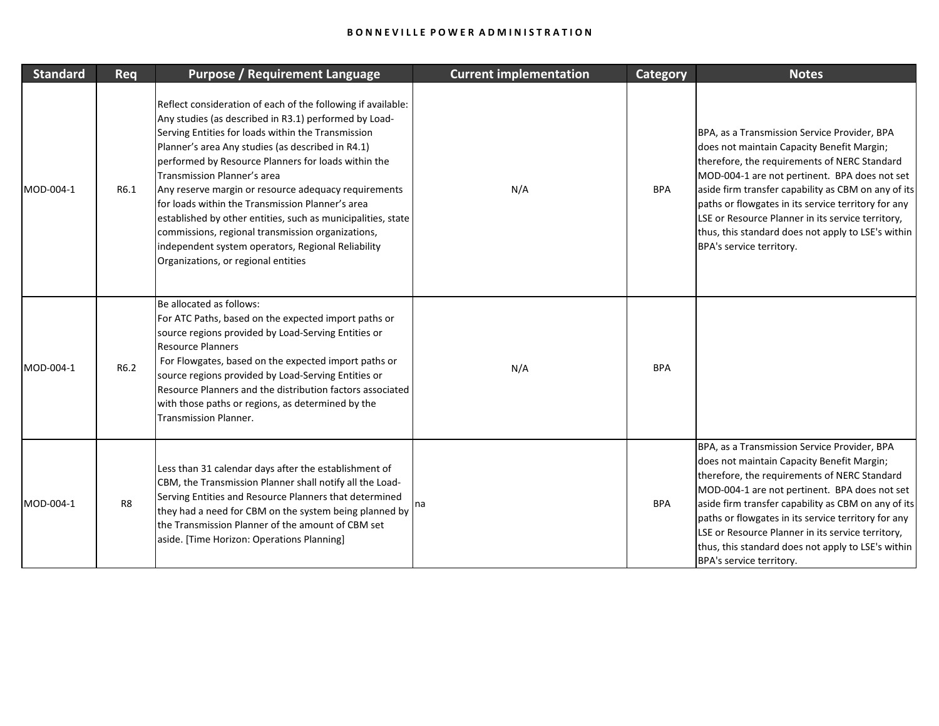| <b>Standard</b> | Req            | <b>Purpose / Requirement Language</b>                                                                                                                                                                                                                                                                                                                                                                                                                                                                                                                                                                                                                | <b>Current implementation</b> | <b>Category</b> | <b>Notes</b>                                                                                                                                                                                                                                                                                                                                                                                                                                     |
|-----------------|----------------|------------------------------------------------------------------------------------------------------------------------------------------------------------------------------------------------------------------------------------------------------------------------------------------------------------------------------------------------------------------------------------------------------------------------------------------------------------------------------------------------------------------------------------------------------------------------------------------------------------------------------------------------------|-------------------------------|-----------------|--------------------------------------------------------------------------------------------------------------------------------------------------------------------------------------------------------------------------------------------------------------------------------------------------------------------------------------------------------------------------------------------------------------------------------------------------|
| MOD-004-1       | R6.1           | Reflect consideration of each of the following if available:<br>Any studies (as described in R3.1) performed by Load-<br>Serving Entities for loads within the Transmission<br>Planner's area Any studies (as described in R4.1)<br>performed by Resource Planners for loads within the<br>Transmission Planner's area<br>Any reserve margin or resource adequacy requirements<br>for loads within the Transmission Planner's area<br>established by other entities, such as municipalities, state<br>commissions, regional transmission organizations,<br>independent system operators, Regional Reliability<br>Organizations, or regional entities | N/A                           | <b>BPA</b>      | BPA, as a Transmission Service Provider, BPA<br>does not maintain Capacity Benefit Margin;<br>therefore, the requirements of NERC Standard<br>MOD-004-1 are not pertinent. BPA does not set<br>aside firm transfer capability as CBM on any of its<br>paths or flowgates in its service territory for any<br>LSE or Resource Planner in its service territory,<br>thus, this standard does not apply to LSE's within<br>BPA's service territory. |
| MOD-004-1       | R6.2           | Be allocated as follows:<br>For ATC Paths, based on the expected import paths or<br>source regions provided by Load-Serving Entities or<br><b>Resource Planners</b><br>For Flowgates, based on the expected import paths or<br>source regions provided by Load-Serving Entities or<br>Resource Planners and the distribution factors associated<br>with those paths or regions, as determined by the<br>Transmission Planner.                                                                                                                                                                                                                        | N/A                           | <b>BPA</b>      |                                                                                                                                                                                                                                                                                                                                                                                                                                                  |
| MOD-004-1       | R <sub>8</sub> | Less than 31 calendar days after the establishment of<br>CBM, the Transmission Planner shall notify all the Load-<br>Serving Entities and Resource Planners that determined<br>they had a need for CBM on the system being planned by<br>the Transmission Planner of the amount of CBM set<br>aside. [Time Horizon: Operations Planning]                                                                                                                                                                                                                                                                                                             |                               | <b>BPA</b>      | BPA, as a Transmission Service Provider, BPA<br>does not maintain Capacity Benefit Margin;<br>therefore, the requirements of NERC Standard<br>MOD-004-1 are not pertinent. BPA does not set<br>aside firm transfer capability as CBM on any of its<br>paths or flowgates in its service territory for any<br>LSE or Resource Planner in its service territory,<br>thus, this standard does not apply to LSE's within<br>BPA's service territory. |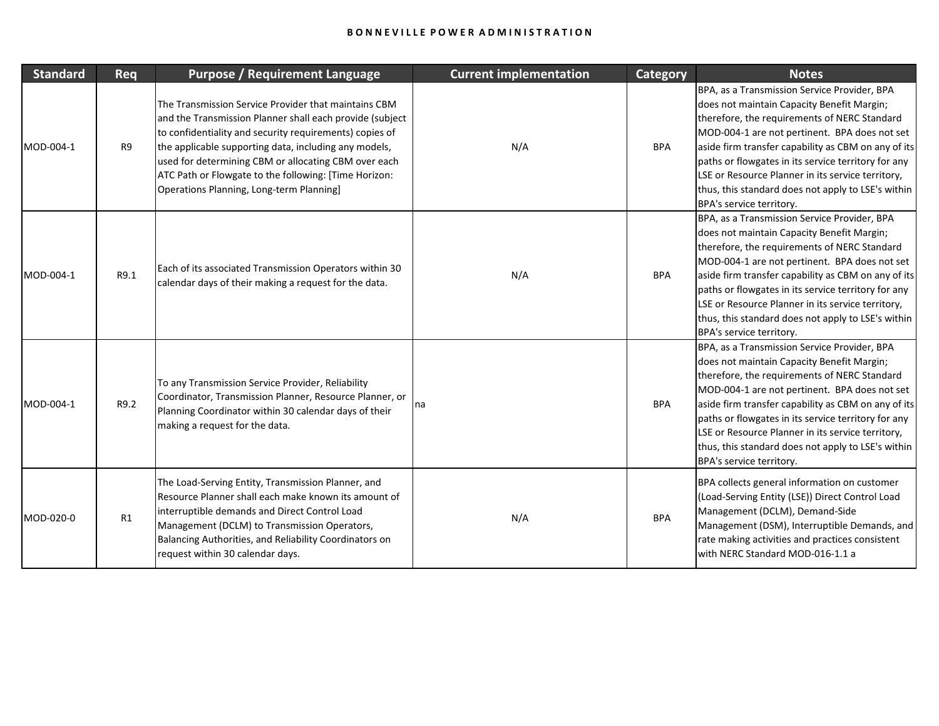| <b>Standard</b> | Req  | <b>Purpose / Requirement Language</b>                                                                                                                                                                                                                                                                                                                                                             | <b>Current implementation</b> | <b>Category</b> | <b>Notes</b>                                                                                                                                                                                                                                                                                                                                                                                                                                     |
|-----------------|------|---------------------------------------------------------------------------------------------------------------------------------------------------------------------------------------------------------------------------------------------------------------------------------------------------------------------------------------------------------------------------------------------------|-------------------------------|-----------------|--------------------------------------------------------------------------------------------------------------------------------------------------------------------------------------------------------------------------------------------------------------------------------------------------------------------------------------------------------------------------------------------------------------------------------------------------|
| MOD-004-1       | R9   | The Transmission Service Provider that maintains CBM<br>and the Transmission Planner shall each provide (subject<br>to confidentiality and security requirements) copies of<br>the applicable supporting data, including any models,<br>used for determining CBM or allocating CBM over each<br>ATC Path or Flowgate to the following: [Time Horizon:<br>Operations Planning, Long-term Planning] | N/A                           | <b>BPA</b>      | BPA, as a Transmission Service Provider, BPA<br>does not maintain Capacity Benefit Margin;<br>therefore, the requirements of NERC Standard<br>MOD-004-1 are not pertinent. BPA does not set<br>aside firm transfer capability as CBM on any of its<br>paths or flowgates in its service territory for any<br>LSE or Resource Planner in its service territory,<br>thus, this standard does not apply to LSE's within<br>BPA's service territory. |
| MOD-004-1       | R9.1 | Each of its associated Transmission Operators within 30<br>calendar days of their making a request for the data.                                                                                                                                                                                                                                                                                  | N/A                           | <b>BPA</b>      | BPA, as a Transmission Service Provider, BPA<br>does not maintain Capacity Benefit Margin;<br>therefore, the requirements of NERC Standard<br>MOD-004-1 are not pertinent. BPA does not set<br>aside firm transfer capability as CBM on any of its<br>paths or flowgates in its service territory for any<br>LSE or Resource Planner in its service territory,<br>thus, this standard does not apply to LSE's within<br>BPA's service territory. |
| MOD-004-1       | R9.2 | To any Transmission Service Provider, Reliability<br>Coordinator, Transmission Planner, Resource Planner, or<br>Planning Coordinator within 30 calendar days of their<br>making a request for the data.                                                                                                                                                                                           | na                            | <b>BPA</b>      | BPA, as a Transmission Service Provider, BPA<br>does not maintain Capacity Benefit Margin;<br>therefore, the requirements of NERC Standard<br>MOD-004-1 are not pertinent. BPA does not set<br>aside firm transfer capability as CBM on any of its<br>paths or flowgates in its service territory for any<br>LSE or Resource Planner in its service territory,<br>thus, this standard does not apply to LSE's within<br>BPA's service territory. |
| MOD-020-0       | R1   | The Load-Serving Entity, Transmission Planner, and<br>Resource Planner shall each make known its amount of<br>interruptible demands and Direct Control Load<br>Management (DCLM) to Transmission Operators,<br>Balancing Authorities, and Reliability Coordinators on<br>request within 30 calendar days.                                                                                         | N/A                           | <b>BPA</b>      | BPA collects general information on customer<br>(Load-Serving Entity (LSE)) Direct Control Load<br>Management (DCLM), Demand-Side<br>Management (DSM), Interruptible Demands, and<br>rate making activities and practices consistent<br>with NERC Standard MOD-016-1.1 a                                                                                                                                                                         |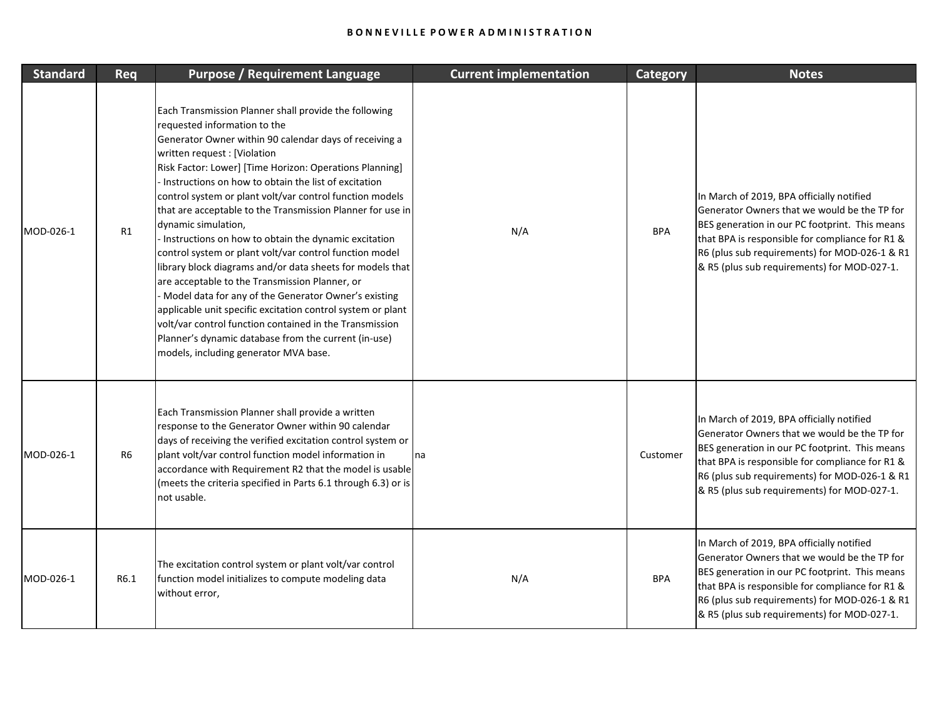| <b>Standard</b> | Req            | <b>Purpose / Requirement Language</b>                                                                                                                                                                                                                                                                                                                                                                                                                                                                                                                                                                                                                                                                                                                                                                                                                                                                                                                                    | <b>Current implementation</b> | Category   | <b>Notes</b>                                                                                                                                                                                                                                                                                   |
|-----------------|----------------|--------------------------------------------------------------------------------------------------------------------------------------------------------------------------------------------------------------------------------------------------------------------------------------------------------------------------------------------------------------------------------------------------------------------------------------------------------------------------------------------------------------------------------------------------------------------------------------------------------------------------------------------------------------------------------------------------------------------------------------------------------------------------------------------------------------------------------------------------------------------------------------------------------------------------------------------------------------------------|-------------------------------|------------|------------------------------------------------------------------------------------------------------------------------------------------------------------------------------------------------------------------------------------------------------------------------------------------------|
| MOD-026-1       | R1             | Each Transmission Planner shall provide the following<br>requested information to the<br>Generator Owner within 90 calendar days of receiving a<br>written request : [Violation<br>Risk Factor: Lower] [Time Horizon: Operations Planning]<br>Instructions on how to obtain the list of excitation<br>control system or plant volt/var control function models<br>that are acceptable to the Transmission Planner for use in<br>dynamic simulation,<br>Instructions on how to obtain the dynamic excitation<br>control system or plant volt/var control function model<br>library block diagrams and/or data sheets for models that<br>are acceptable to the Transmission Planner, or<br>Model data for any of the Generator Owner's existing<br>applicable unit specific excitation control system or plant<br>volt/var control function contained in the Transmission<br>Planner's dynamic database from the current (in-use)<br>models, including generator MVA base. | N/A                           | <b>BPA</b> | In March of 2019, BPA officially notified<br>Generator Owners that we would be the TP for<br>BES generation in our PC footprint. This means<br>that BPA is responsible for compliance for R1 &<br>R6 (plus sub requirements) for MOD-026-1 & R1<br>& R5 (plus sub requirements) for MOD-027-1. |
| MOD-026-1       | R <sub>6</sub> | Each Transmission Planner shall provide a written<br>response to the Generator Owner within 90 calendar<br>days of receiving the verified excitation control system or<br>plant volt/var control function model information in<br>accordance with Requirement R2 that the model is usable<br>(meets the criteria specified in Parts 6.1 through 6.3) or is<br>not usable.                                                                                                                                                                                                                                                                                                                                                                                                                                                                                                                                                                                                | na                            | Customer   | In March of 2019, BPA officially notified<br>Generator Owners that we would be the TP for<br>BES generation in our PC footprint. This means<br>that BPA is responsible for compliance for R1 &<br>R6 (plus sub requirements) for MOD-026-1 & R1<br>& R5 (plus sub requirements) for MOD-027-1. |
| MOD-026-1       | R6.1           | The excitation control system or plant volt/var control<br>function model initializes to compute modeling data<br>without error,                                                                                                                                                                                                                                                                                                                                                                                                                                                                                                                                                                                                                                                                                                                                                                                                                                         | N/A                           | <b>BPA</b> | In March of 2019, BPA officially notified<br>Generator Owners that we would be the TP for<br>BES generation in our PC footprint. This means<br>that BPA is responsible for compliance for R1 &<br>R6 (plus sub requirements) for MOD-026-1 & R1<br>& R5 (plus sub requirements) for MOD-027-1. |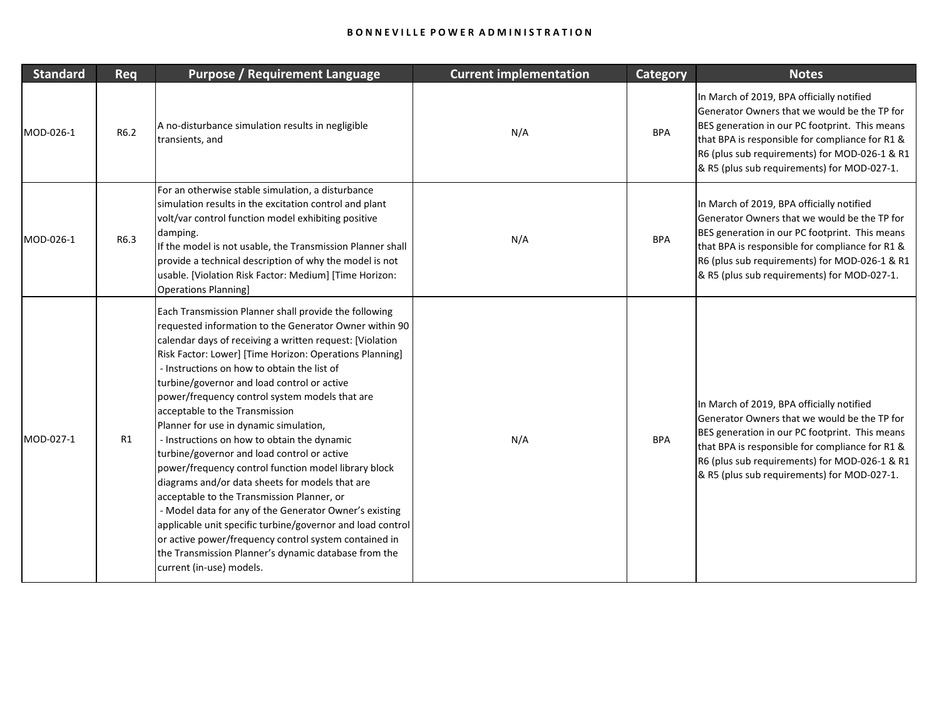| <b>Standard</b> | Req  | <b>Purpose / Requirement Language</b>                                                                                                                                                                                                                                                                                                                                                                                                                                                                                                                                                                                                                                                                                                                                                                                                                                                                                                                                                          | <b>Current implementation</b> | <b>Category</b> | <b>Notes</b>                                                                                                                                                                                                                                                                                   |
|-----------------|------|------------------------------------------------------------------------------------------------------------------------------------------------------------------------------------------------------------------------------------------------------------------------------------------------------------------------------------------------------------------------------------------------------------------------------------------------------------------------------------------------------------------------------------------------------------------------------------------------------------------------------------------------------------------------------------------------------------------------------------------------------------------------------------------------------------------------------------------------------------------------------------------------------------------------------------------------------------------------------------------------|-------------------------------|-----------------|------------------------------------------------------------------------------------------------------------------------------------------------------------------------------------------------------------------------------------------------------------------------------------------------|
| MOD-026-1       | R6.2 | A no-disturbance simulation results in negligible<br>transients, and                                                                                                                                                                                                                                                                                                                                                                                                                                                                                                                                                                                                                                                                                                                                                                                                                                                                                                                           | N/A                           | <b>BPA</b>      | In March of 2019, BPA officially notified<br>Generator Owners that we would be the TP for<br>BES generation in our PC footprint. This means<br>that BPA is responsible for compliance for R1 &<br>R6 (plus sub requirements) for MOD-026-1 & R1<br>& R5 (plus sub requirements) for MOD-027-1. |
| MOD-026-1       | R6.3 | For an otherwise stable simulation, a disturbance<br>simulation results in the excitation control and plant<br>volt/var control function model exhibiting positive<br>damping.<br>If the model is not usable, the Transmission Planner shall<br>provide a technical description of why the model is not<br>usable. [Violation Risk Factor: Medium] [Time Horizon:<br><b>Operations Planning]</b>                                                                                                                                                                                                                                                                                                                                                                                                                                                                                                                                                                                               | N/A                           | <b>BPA</b>      | In March of 2019, BPA officially notified<br>Generator Owners that we would be the TP for<br>BES generation in our PC footprint. This means<br>that BPA is responsible for compliance for R1 &<br>R6 (plus sub requirements) for MOD-026-1 & R1<br>& R5 (plus sub requirements) for MOD-027-1. |
| MOD-027-1       | R1   | Each Transmission Planner shall provide the following<br>requested information to the Generator Owner within 90<br>calendar days of receiving a written request: [Violation<br>Risk Factor: Lower] [Time Horizon: Operations Planning]<br>- Instructions on how to obtain the list of<br>turbine/governor and load control or active<br>power/frequency control system models that are<br>acceptable to the Transmission<br>Planner for use in dynamic simulation,<br>- Instructions on how to obtain the dynamic<br>turbine/governor and load control or active<br>power/frequency control function model library block<br>diagrams and/or data sheets for models that are<br>acceptable to the Transmission Planner, or<br>- Model data for any of the Generator Owner's existing<br>applicable unit specific turbine/governor and load control<br>or active power/frequency control system contained in<br>the Transmission Planner's dynamic database from the<br>current (in-use) models. | N/A                           | <b>BPA</b>      | In March of 2019, BPA officially notified<br>Generator Owners that we would be the TP for<br>BES generation in our PC footprint. This means<br>that BPA is responsible for compliance for R1 &<br>R6 (plus sub requirements) for MOD-026-1 & R1<br>& R5 (plus sub requirements) for MOD-027-1. |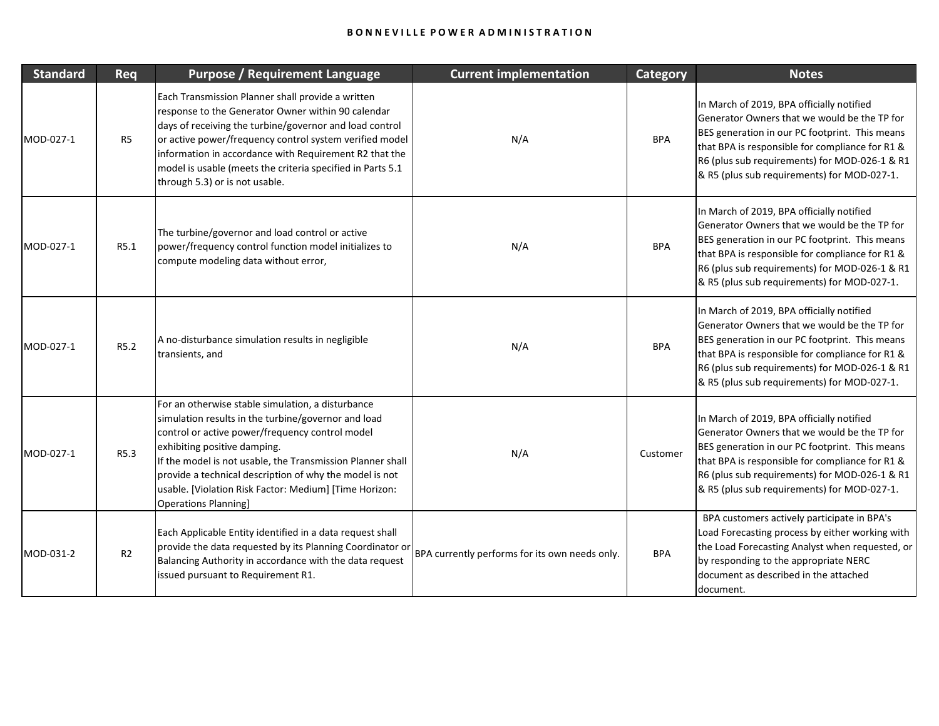| <b>Standard</b> | Req            | <b>Purpose / Requirement Language</b>                                                                                                                                                                                                                                                                                                                                                                         | <b>Current implementation</b>                  | <b>Category</b> | <b>Notes</b>                                                                                                                                                                                                                                                                                   |
|-----------------|----------------|---------------------------------------------------------------------------------------------------------------------------------------------------------------------------------------------------------------------------------------------------------------------------------------------------------------------------------------------------------------------------------------------------------------|------------------------------------------------|-----------------|------------------------------------------------------------------------------------------------------------------------------------------------------------------------------------------------------------------------------------------------------------------------------------------------|
| MOD-027-1       | R <sub>5</sub> | Each Transmission Planner shall provide a written<br>response to the Generator Owner within 90 calendar<br>days of receiving the turbine/governor and load control<br>or active power/frequency control system verified model<br>information in accordance with Requirement R2 that the<br>model is usable (meets the criteria specified in Parts 5.1<br>through 5.3) or is not usable.                       | N/A                                            | <b>BPA</b>      | In March of 2019, BPA officially notified<br>Generator Owners that we would be the TP for<br>BES generation in our PC footprint. This means<br>that BPA is responsible for compliance for R1 &<br>R6 (plus sub requirements) for MOD-026-1 & R1<br>& R5 (plus sub requirements) for MOD-027-1. |
| MOD-027-1       | R5.1           | The turbine/governor and load control or active<br>power/frequency control function model initializes to<br>compute modeling data without error,                                                                                                                                                                                                                                                              | N/A                                            | <b>BPA</b>      | In March of 2019, BPA officially notified<br>Generator Owners that we would be the TP for<br>BES generation in our PC footprint. This means<br>that BPA is responsible for compliance for R1 &<br>R6 (plus sub requirements) for MOD-026-1 & R1<br>& R5 (plus sub requirements) for MOD-027-1. |
| MOD-027-1       | R5.2           | A no-disturbance simulation results in negligible<br>transients, and                                                                                                                                                                                                                                                                                                                                          | N/A                                            | <b>BPA</b>      | In March of 2019, BPA officially notified<br>Generator Owners that we would be the TP for<br>BES generation in our PC footprint. This means<br>that BPA is responsible for compliance for R1 &<br>R6 (plus sub requirements) for MOD-026-1 & R1<br>& R5 (plus sub requirements) for MOD-027-1. |
| MOD-027-1       | R5.3           | For an otherwise stable simulation, a disturbance<br>simulation results in the turbine/governor and load<br>control or active power/frequency control model<br>exhibiting positive damping.<br>If the model is not usable, the Transmission Planner shall<br>provide a technical description of why the model is not<br>usable. [Violation Risk Factor: Medium] [Time Horizon:<br><b>Operations Planning]</b> | N/A                                            | Customer        | In March of 2019, BPA officially notified<br>Generator Owners that we would be the TP for<br>BES generation in our PC footprint. This means<br>that BPA is responsible for compliance for R1 &<br>R6 (plus sub requirements) for MOD-026-1 & R1<br>& R5 (plus sub requirements) for MOD-027-1. |
| MOD-031-2       | R2             | Each Applicable Entity identified in a data request shall<br>provide the data requested by its Planning Coordinator or<br>Balancing Authority in accordance with the data request<br>issued pursuant to Requirement R1.                                                                                                                                                                                       | BPA currently performs for its own needs only. | <b>BPA</b>      | BPA customers actively participate in BPA's<br>Load Forecasting process by either working with<br>the Load Forecasting Analyst when requested, or<br>by responding to the appropriate NERC<br>document as described in the attached<br>document.                                               |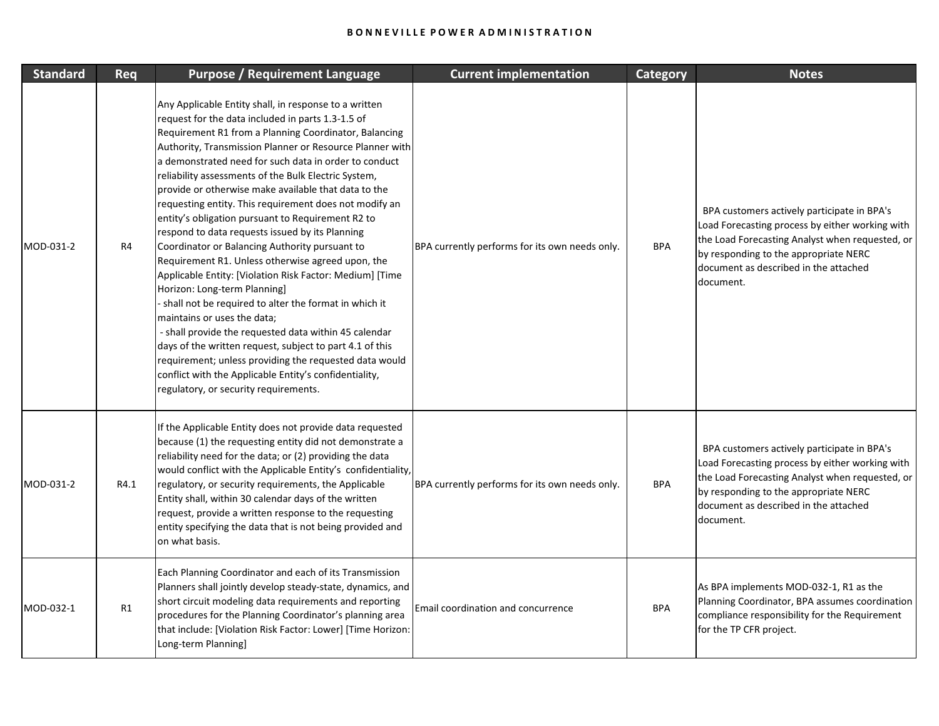| <b>Standard</b> | Req  | <b>Purpose / Requirement Language</b>                                                                                                                                                                                                                                                                                                                                                                                                                                                                                                                                                                                                                                                                                                                                                                                                                                                                                                                                                                                                                                                                                                                   | <b>Current implementation</b>                  | <b>Category</b> | <b>Notes</b>                                                                                                                                                                                                                                     |
|-----------------|------|---------------------------------------------------------------------------------------------------------------------------------------------------------------------------------------------------------------------------------------------------------------------------------------------------------------------------------------------------------------------------------------------------------------------------------------------------------------------------------------------------------------------------------------------------------------------------------------------------------------------------------------------------------------------------------------------------------------------------------------------------------------------------------------------------------------------------------------------------------------------------------------------------------------------------------------------------------------------------------------------------------------------------------------------------------------------------------------------------------------------------------------------------------|------------------------------------------------|-----------------|--------------------------------------------------------------------------------------------------------------------------------------------------------------------------------------------------------------------------------------------------|
| MOD-031-2       | R4   | Any Applicable Entity shall, in response to a written<br>request for the data included in parts 1.3-1.5 of<br>Requirement R1 from a Planning Coordinator, Balancing<br>Authority, Transmission Planner or Resource Planner with<br>a demonstrated need for such data in order to conduct<br>reliability assessments of the Bulk Electric System,<br>provide or otherwise make available that data to the<br>requesting entity. This requirement does not modify an<br>entity's obligation pursuant to Requirement R2 to<br>respond to data requests issued by its Planning<br>Coordinator or Balancing Authority pursuant to<br>Requirement R1. Unless otherwise agreed upon, the<br>Applicable Entity: [Violation Risk Factor: Medium] [Time<br>Horizon: Long-term Planning]<br>shall not be required to alter the format in which it<br>maintains or uses the data;<br>- shall provide the requested data within 45 calendar<br>days of the written request, subject to part 4.1 of this<br>requirement; unless providing the requested data would<br>conflict with the Applicable Entity's confidentiality,<br>regulatory, or security requirements. | BPA currently performs for its own needs only. | <b>BPA</b>      | BPA customers actively participate in BPA's<br>Load Forecasting process by either working with<br>the Load Forecasting Analyst when requested, or<br>by responding to the appropriate NERC<br>document as described in the attached<br>document. |
| MOD-031-2       | R4.1 | If the Applicable Entity does not provide data requested<br>because (1) the requesting entity did not demonstrate a<br>reliability need for the data; or (2) providing the data<br>would conflict with the Applicable Entity's confidentiality,<br>regulatory, or security requirements, the Applicable<br>Entity shall, within 30 calendar days of the written<br>request, provide a written response to the requesting<br>entity specifying the data that is not being provided and<br>on what basis.                                                                                                                                                                                                                                                                                                                                                                                                                                                                                                                                                                                                                                                 | BPA currently performs for its own needs only. | <b>BPA</b>      | BPA customers actively participate in BPA's<br>Load Forecasting process by either working with<br>the Load Forecasting Analyst when requested, or<br>by responding to the appropriate NERC<br>document as described in the attached<br>document. |
| MOD-032-1       | R1   | Each Planning Coordinator and each of its Transmission<br>Planners shall jointly develop steady-state, dynamics, and<br>short circuit modeling data requirements and reporting<br>procedures for the Planning Coordinator's planning area<br>that include: [Violation Risk Factor: Lower] [Time Horizon:<br>Long-term Planning]                                                                                                                                                                                                                                                                                                                                                                                                                                                                                                                                                                                                                                                                                                                                                                                                                         | Email coordination and concurrence             | <b>BPA</b>      | As BPA implements MOD-032-1, R1 as the<br>Planning Coordinator, BPA assumes coordination<br>compliance responsibility for the Requirement<br>for the TP CFR project.                                                                             |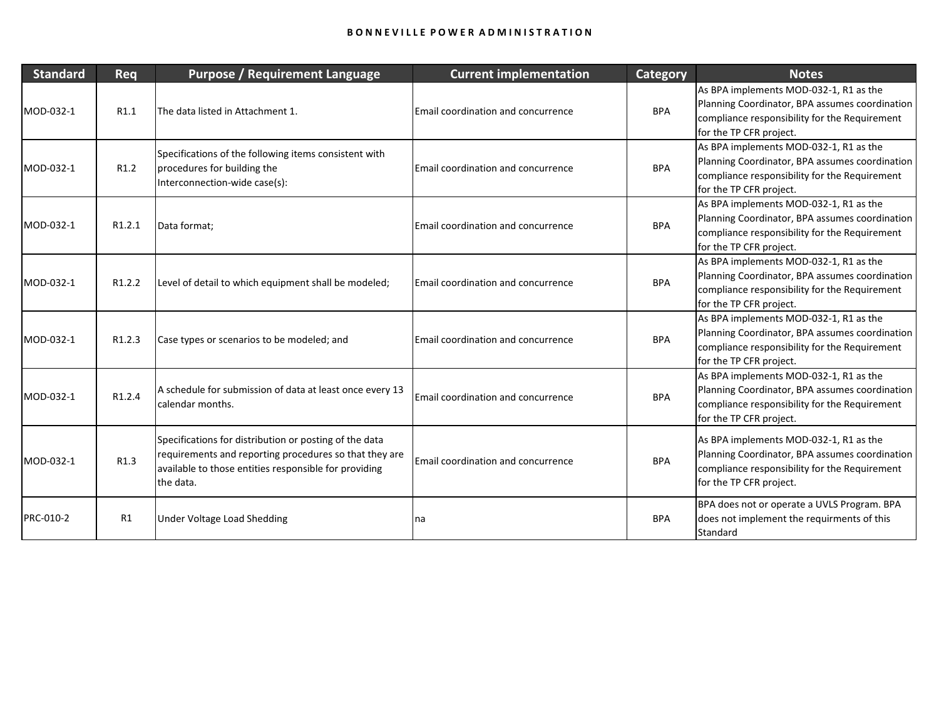| <b>Standard</b> | Req              | <b>Purpose / Requirement Language</b>                                                                                                                                                  | <b>Current implementation</b>             | <b>Category</b> | <b>Notes</b>                                                                                                                                                         |
|-----------------|------------------|----------------------------------------------------------------------------------------------------------------------------------------------------------------------------------------|-------------------------------------------|-----------------|----------------------------------------------------------------------------------------------------------------------------------------------------------------------|
| MOD-032-1       | R1.1             | The data listed in Attachment 1.                                                                                                                                                       | <b>Email coordination and concurrence</b> | <b>BPA</b>      | As BPA implements MOD-032-1, R1 as the<br>Planning Coordinator, BPA assumes coordination<br>compliance responsibility for the Requirement<br>for the TP CFR project. |
| MOD-032-1       | R <sub>1.2</sub> | Specifications of the following items consistent with<br>procedures for building the<br>Interconnection-wide case(s):                                                                  | Email coordination and concurrence        | <b>BPA</b>      | As BPA implements MOD-032-1, R1 as the<br>Planning Coordinator, BPA assumes coordination<br>compliance responsibility for the Requirement<br>for the TP CFR project. |
| MOD-032-1       | R1.2.1           | Data format;                                                                                                                                                                           | <b>Email coordination and concurrence</b> | <b>BPA</b>      | As BPA implements MOD-032-1, R1 as the<br>Planning Coordinator, BPA assumes coordination<br>compliance responsibility for the Requirement<br>for the TP CFR project. |
| MOD-032-1       | R1.2.2           | Level of detail to which equipment shall be modeled;                                                                                                                                   | Email coordination and concurrence        | <b>BPA</b>      | As BPA implements MOD-032-1, R1 as the<br>Planning Coordinator, BPA assumes coordination<br>compliance responsibility for the Requirement<br>for the TP CFR project. |
| MOD-032-1       | R1.2.3           | Case types or scenarios to be modeled; and                                                                                                                                             | Email coordination and concurrence        | <b>BPA</b>      | As BPA implements MOD-032-1, R1 as the<br>Planning Coordinator, BPA assumes coordination<br>compliance responsibility for the Requirement<br>for the TP CFR project. |
| MOD-032-1       | R1.2.4           | A schedule for submission of data at least once every 13<br>calendar months.                                                                                                           | Email coordination and concurrence        | <b>BPA</b>      | As BPA implements MOD-032-1, R1 as the<br>Planning Coordinator, BPA assumes coordination<br>compliance responsibility for the Requirement<br>for the TP CFR project. |
| MOD-032-1       | R1.3             | Specifications for distribution or posting of the data<br>requirements and reporting procedures so that they are<br>available to those entities responsible for providing<br>the data. | Email coordination and concurrence        | <b>BPA</b>      | As BPA implements MOD-032-1, R1 as the<br>Planning Coordinator, BPA assumes coordination<br>compliance responsibility for the Requirement<br>for the TP CFR project. |
| PRC-010-2       | R1               | Under Voltage Load Shedding                                                                                                                                                            | na                                        | <b>BPA</b>      | BPA does not or operate a UVLS Program. BPA<br>does not implement the requirments of this<br>Standard                                                                |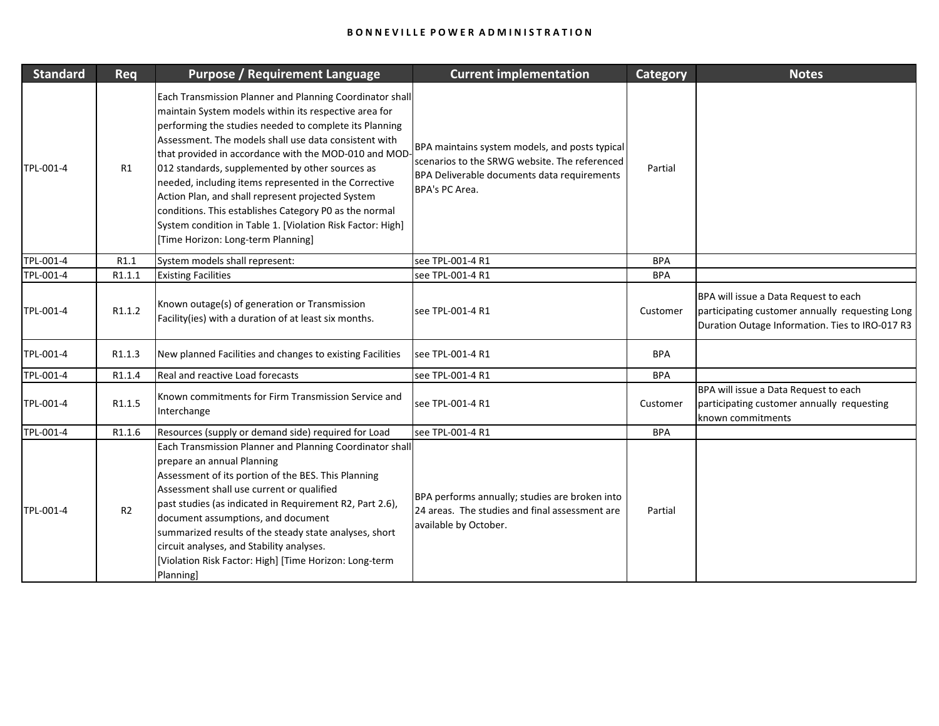| <b>Standard</b> | Req            | <b>Purpose / Requirement Language</b>                                                                                                                                                                                                                                                                                                                                                                                                                                                                                                                                                                                       | <b>Current implementation</b>                                                                                                                                    | <b>Category</b> | <b>Notes</b>                                                                                                                                |
|-----------------|----------------|-----------------------------------------------------------------------------------------------------------------------------------------------------------------------------------------------------------------------------------------------------------------------------------------------------------------------------------------------------------------------------------------------------------------------------------------------------------------------------------------------------------------------------------------------------------------------------------------------------------------------------|------------------------------------------------------------------------------------------------------------------------------------------------------------------|-----------------|---------------------------------------------------------------------------------------------------------------------------------------------|
| TPL-001-4       | R1             | Each Transmission Planner and Planning Coordinator shall<br>maintain System models within its respective area for<br>performing the studies needed to complete its Planning<br>Assessment. The models shall use data consistent with<br>that provided in accordance with the MOD-010 and MOD<br>012 standards, supplemented by other sources as<br>needed, including items represented in the Corrective<br>Action Plan, and shall represent projected System<br>conditions. This establishes Category P0 as the normal<br>System condition in Table 1. [Violation Risk Factor: High]<br>[Time Horizon: Long-term Planning] | BPA maintains system models, and posts typical<br>scenarios to the SRWG website. The referenced<br>BPA Deliverable documents data requirements<br>BPA's PC Area. | Partial         |                                                                                                                                             |
| TPL-001-4       | R1.1           | System models shall represent:                                                                                                                                                                                                                                                                                                                                                                                                                                                                                                                                                                                              | see TPL-001-4 R1                                                                                                                                                 | <b>BPA</b>      |                                                                                                                                             |
| TPL-001-4       | R1.1.1         | <b>Existing Facilities</b>                                                                                                                                                                                                                                                                                                                                                                                                                                                                                                                                                                                                  | see TPL-001-4 R1                                                                                                                                                 | <b>BPA</b>      |                                                                                                                                             |
| TPL-001-4       | R1.1.2         | Known outage(s) of generation or Transmission<br>Facility(ies) with a duration of at least six months.                                                                                                                                                                                                                                                                                                                                                                                                                                                                                                                      | see TPL-001-4 R1                                                                                                                                                 | Customer        | BPA will issue a Data Request to each<br>participating customer annually requesting Long<br>Duration Outage Information. Ties to IRO-017 R3 |
| TPL-001-4       | R1.1.3         | New planned Facilities and changes to existing Facilities                                                                                                                                                                                                                                                                                                                                                                                                                                                                                                                                                                   | see TPL-001-4 R1                                                                                                                                                 | <b>BPA</b>      |                                                                                                                                             |
| TPL-001-4       | R1.1.4         | Real and reactive Load forecasts                                                                                                                                                                                                                                                                                                                                                                                                                                                                                                                                                                                            | see TPL-001-4 R1                                                                                                                                                 | <b>BPA</b>      |                                                                                                                                             |
| TPL-001-4       | R1.1.5         | Known commitments for Firm Transmission Service and<br>Interchange                                                                                                                                                                                                                                                                                                                                                                                                                                                                                                                                                          | see TPL-001-4 R1                                                                                                                                                 | Customer        | BPA will issue a Data Request to each<br>participating customer annually requesting<br>known commitments                                    |
| TPL-001-4       | R1.1.6         | Resources (supply or demand side) required for Load                                                                                                                                                                                                                                                                                                                                                                                                                                                                                                                                                                         | see TPL-001-4 R1                                                                                                                                                 | <b>BPA</b>      |                                                                                                                                             |
| TPL-001-4       | R <sub>2</sub> | Each Transmission Planner and Planning Coordinator shall<br>prepare an annual Planning<br>Assessment of its portion of the BES. This Planning<br>Assessment shall use current or qualified<br>past studies (as indicated in Requirement R2, Part 2.6),<br>document assumptions, and document<br>summarized results of the steady state analyses, short<br>circuit analyses, and Stability analyses.<br>[Violation Risk Factor: High] [Time Horizon: Long-term<br>Planning]                                                                                                                                                  | BPA performs annually; studies are broken into<br>24 areas. The studies and final assessment are<br>available by October.                                        | Partial         |                                                                                                                                             |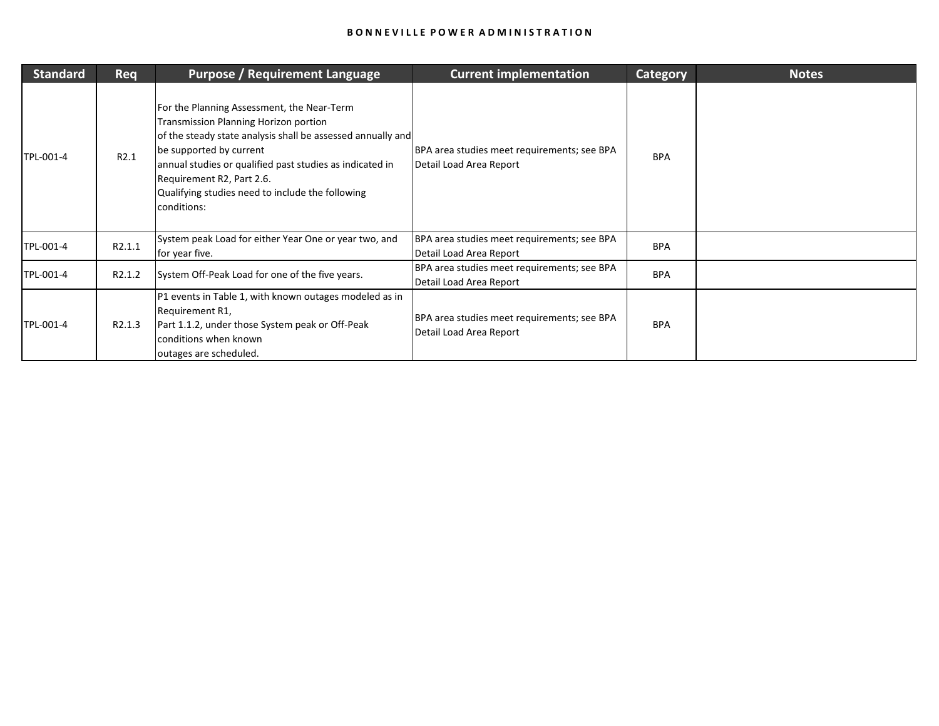| <b>Standard</b> | <b>Req</b>          | <b>Purpose / Requirement Language</b>                                                                                                                                                                                                                                                                                                            | <b>Current implementation</b>                                          | <b>Category</b> | <b>Notes</b> |
|-----------------|---------------------|--------------------------------------------------------------------------------------------------------------------------------------------------------------------------------------------------------------------------------------------------------------------------------------------------------------------------------------------------|------------------------------------------------------------------------|-----------------|--------------|
| TPL-001-4       | R2.1                | For the Planning Assessment, the Near-Term<br><b>Transmission Planning Horizon portion</b><br>of the steady state analysis shall be assessed annually and<br>be supported by current<br>annual studies or qualified past studies as indicated in<br>Requirement R2, Part 2.6.<br>Qualifying studies need to include the following<br>conditions: | BPA area studies meet requirements; see BPA<br>Detail Load Area Report | <b>BPA</b>      |              |
| TPL-001-4       | R2.1.1              | System peak Load for either Year One or year two, and<br>for year five.                                                                                                                                                                                                                                                                          | BPA area studies meet requirements; see BPA<br>Detail Load Area Report | <b>BPA</b>      |              |
| TPL-001-4       | R <sub>2</sub> .1.2 | System Off-Peak Load for one of the five years.                                                                                                                                                                                                                                                                                                  | BPA area studies meet requirements; see BPA<br>Detail Load Area Report | <b>BPA</b>      |              |
| TPL-001-4       | R <sub>2.1.3</sub>  | P1 events in Table 1, with known outages modeled as in<br>Requirement R1,<br>Part 1.1.2, under those System peak or Off-Peak<br>conditions when known<br>outages are scheduled.                                                                                                                                                                  | BPA area studies meet requirements; see BPA<br>Detail Load Area Report | <b>BPA</b>      |              |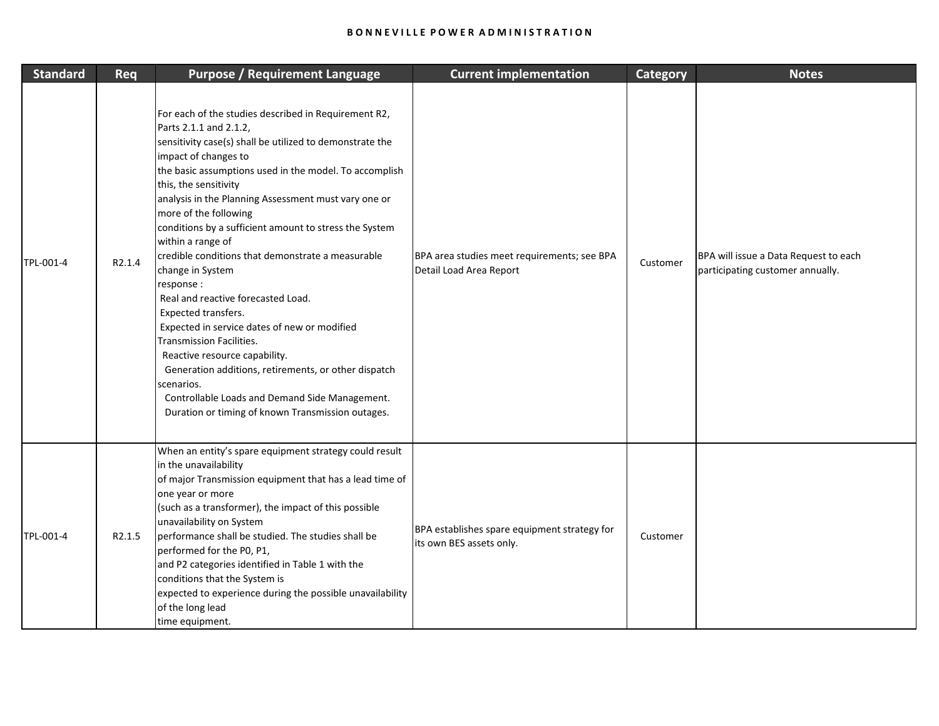| <b>Standard</b> | Req    | <b>Purpose / Requirement Language</b>                                                                                                                                                                                                                                                                                                                                                                                                                                                                                                                                                                                                                                                                                                                                                                                                                               | <b>Current implementation</b>                                            | <b>Category</b> | <b>Notes</b>                                                              |
|-----------------|--------|---------------------------------------------------------------------------------------------------------------------------------------------------------------------------------------------------------------------------------------------------------------------------------------------------------------------------------------------------------------------------------------------------------------------------------------------------------------------------------------------------------------------------------------------------------------------------------------------------------------------------------------------------------------------------------------------------------------------------------------------------------------------------------------------------------------------------------------------------------------------|--------------------------------------------------------------------------|-----------------|---------------------------------------------------------------------------|
| TPL-001-4       | R2.1.4 | For each of the studies described in Requirement R2,<br>Parts 2.1.1 and 2.1.2,<br>sensitivity case(s) shall be utilized to demonstrate the<br>impact of changes to<br>the basic assumptions used in the model. To accomplish<br>this, the sensitivity<br>analysis in the Planning Assessment must vary one or<br>more of the following<br>conditions by a sufficient amount to stress the System<br>within a range of<br>credible conditions that demonstrate a measurable<br>change in System<br>response :<br>Real and reactive forecasted Load.<br>Expected transfers.<br>Expected in service dates of new or modified<br>Transmission Facilities.<br>Reactive resource capability.<br>Generation additions, retirements, or other dispatch<br>scenarios.<br>Controllable Loads and Demand Side Management.<br>Duration or timing of known Transmission outages. | BPA area studies meet requirements; see BPA<br>Detail Load Area Report   | Customer        | BPA will issue a Data Request to each<br>participating customer annually. |
| TPL-001-4       | R2.1.5 | When an entity's spare equipment strategy could result<br>in the unavailability<br>of major Transmission equipment that has a lead time of<br>one year or more<br>(such as a transformer), the impact of this possible<br>unavailability on System<br>performance shall be studied. The studies shall be<br>performed for the P0, P1,<br>and P2 categories identified in Table 1 with the<br>conditions that the System is<br>expected to experience during the possible unavailability<br>of the long lead<br>time equipment.                                                                                                                                                                                                                                                                                                                                      | BPA establishes spare equipment strategy for<br>its own BES assets only. | Customer        |                                                                           |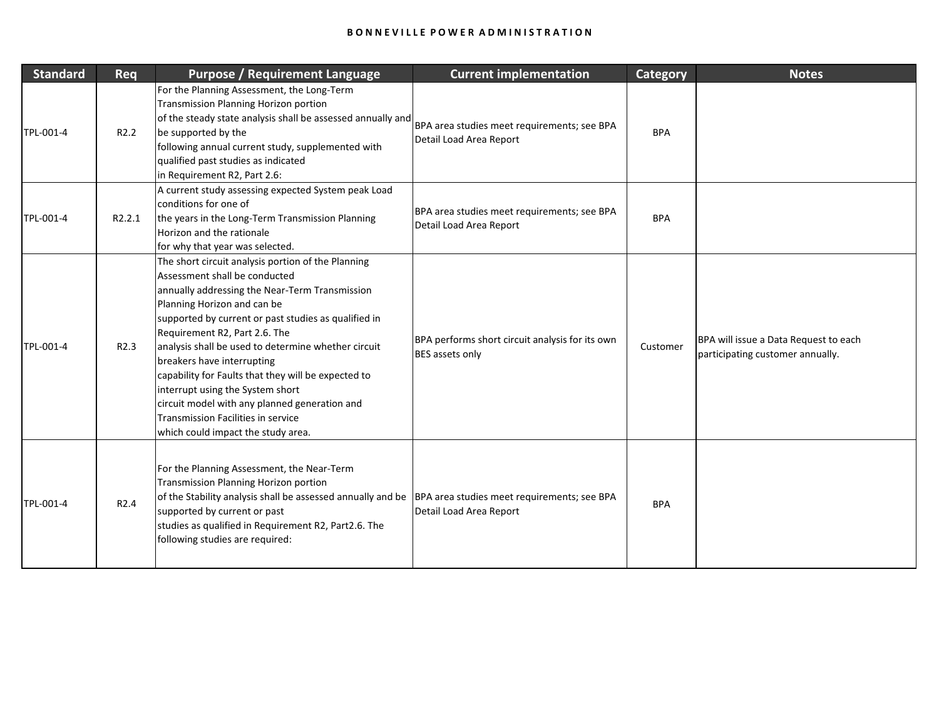| <b>Standard</b> | Req              | <b>Purpose / Requirement Language</b>                                                                                                                                                                                                                                                                                                                                                                                                                                                                                                                                             | <b>Current implementation</b>                                             | <b>Category</b> | <b>Notes</b>                                                              |
|-----------------|------------------|-----------------------------------------------------------------------------------------------------------------------------------------------------------------------------------------------------------------------------------------------------------------------------------------------------------------------------------------------------------------------------------------------------------------------------------------------------------------------------------------------------------------------------------------------------------------------------------|---------------------------------------------------------------------------|-----------------|---------------------------------------------------------------------------|
| TPL-001-4       | R <sub>2.2</sub> | For the Planning Assessment, the Long-Term<br><b>Transmission Planning Horizon portion</b><br>of the steady state analysis shall be assessed annually and<br>be supported by the<br>following annual current study, supplemented with<br>qualified past studies as indicated<br>in Requirement R2, Part 2.6:                                                                                                                                                                                                                                                                      | BPA area studies meet requirements; see BPA<br>Detail Load Area Report    | <b>BPA</b>      |                                                                           |
| TPL-001-4       | R2.2.1           | A current study assessing expected System peak Load<br>conditions for one of<br>the years in the Long-Term Transmission Planning<br>Horizon and the rationale<br>for why that year was selected.                                                                                                                                                                                                                                                                                                                                                                                  | BPA area studies meet requirements; see BPA<br>Detail Load Area Report    | <b>BPA</b>      |                                                                           |
| TPL-001-4       | R <sub>2.3</sub> | The short circuit analysis portion of the Planning<br>Assessment shall be conducted<br>annually addressing the Near-Term Transmission<br>Planning Horizon and can be<br>supported by current or past studies as qualified in<br>Requirement R2, Part 2.6. The<br>analysis shall be used to determine whether circuit<br>breakers have interrupting<br>capability for Faults that they will be expected to<br>interrupt using the System short<br>circuit model with any planned generation and<br><b>Transmission Facilities in service</b><br>which could impact the study area. | BPA performs short circuit analysis for its own<br><b>BES</b> assets only | Customer        | BPA will issue a Data Request to each<br>participating customer annually. |
| TPL-001-4       | R <sub>2.4</sub> | For the Planning Assessment, the Near-Term<br><b>Transmission Planning Horizon portion</b><br>of the Stability analysis shall be assessed annually and be<br>supported by current or past<br>studies as qualified in Requirement R2, Part2.6. The<br>following studies are required:                                                                                                                                                                                                                                                                                              | BPA area studies meet requirements; see BPA<br>Detail Load Area Report    | <b>BPA</b>      |                                                                           |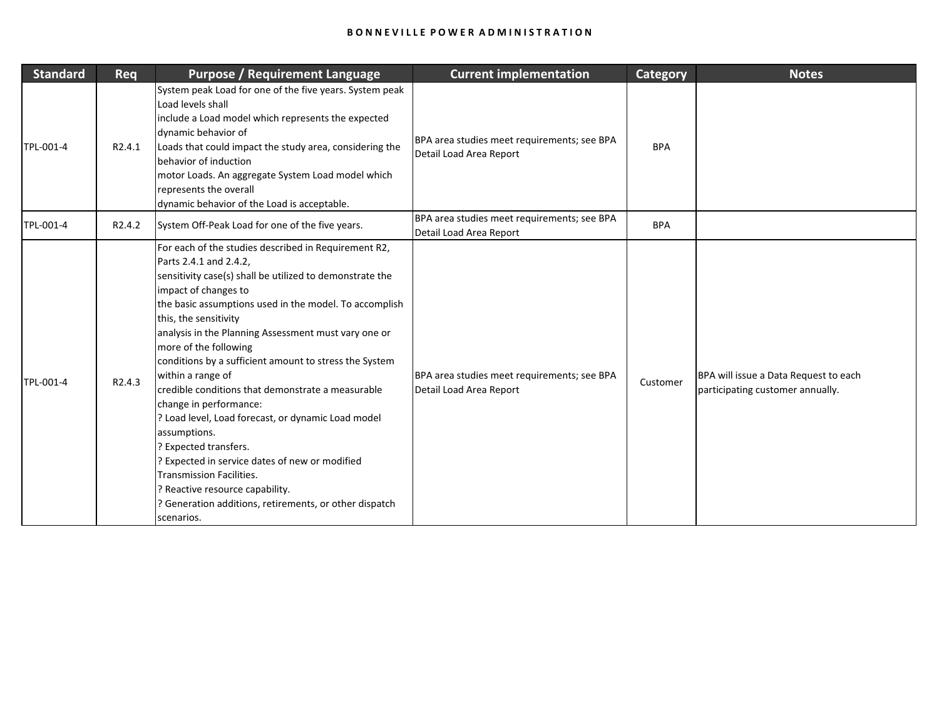| <b>Standard</b> | <b>Req</b>          | <b>Purpose / Requirement Language</b>                                                                                                                                                                                                                                                                                                                                                                                                                                                                                                                                                                                                                                                                                                                                                            | <b>Current implementation</b>                                          | <b>Category</b> | <b>Notes</b>                                                              |
|-----------------|---------------------|--------------------------------------------------------------------------------------------------------------------------------------------------------------------------------------------------------------------------------------------------------------------------------------------------------------------------------------------------------------------------------------------------------------------------------------------------------------------------------------------------------------------------------------------------------------------------------------------------------------------------------------------------------------------------------------------------------------------------------------------------------------------------------------------------|------------------------------------------------------------------------|-----------------|---------------------------------------------------------------------------|
| TPL-001-4       | R <sub>2</sub> .4.1 | System peak Load for one of the five years. System peak<br>Load levels shall<br>include a Load model which represents the expected<br>dynamic behavior of<br>Loads that could impact the study area, considering the<br>behavior of induction<br>motor Loads. An aggregate System Load model which<br>represents the overall<br>dynamic behavior of the Load is acceptable.                                                                                                                                                                                                                                                                                                                                                                                                                      | BPA area studies meet requirements; see BPA<br>Detail Load Area Report | <b>BPA</b>      |                                                                           |
| TPL-001-4       | R <sub>2</sub> .4.2 | System Off-Peak Load for one of the five years.                                                                                                                                                                                                                                                                                                                                                                                                                                                                                                                                                                                                                                                                                                                                                  | BPA area studies meet requirements; see BPA<br>Detail Load Area Report | <b>BPA</b>      |                                                                           |
| TPL-001-4       | R <sub>2</sub> .4.3 | For each of the studies described in Requirement R2,<br>Parts 2.4.1 and 2.4.2,<br>sensitivity case(s) shall be utilized to demonstrate the<br>impact of changes to<br>the basic assumptions used in the model. To accomplish<br>this, the sensitivity<br>analysis in the Planning Assessment must vary one or<br>more of the following<br>conditions by a sufficient amount to stress the System<br>within a range of<br>credible conditions that demonstrate a measurable<br>change in performance:<br>? Load level, Load forecast, or dynamic Load model<br>assumptions.<br>? Expected transfers.<br>Pexpected in service dates of new or modified<br><b>Transmission Facilities.</b><br>? Reactive resource capability.<br>Generation additions, retirements, or other dispatch<br>scenarios. | BPA area studies meet requirements; see BPA<br>Detail Load Area Report | Customer        | BPA will issue a Data Request to each<br>participating customer annually. |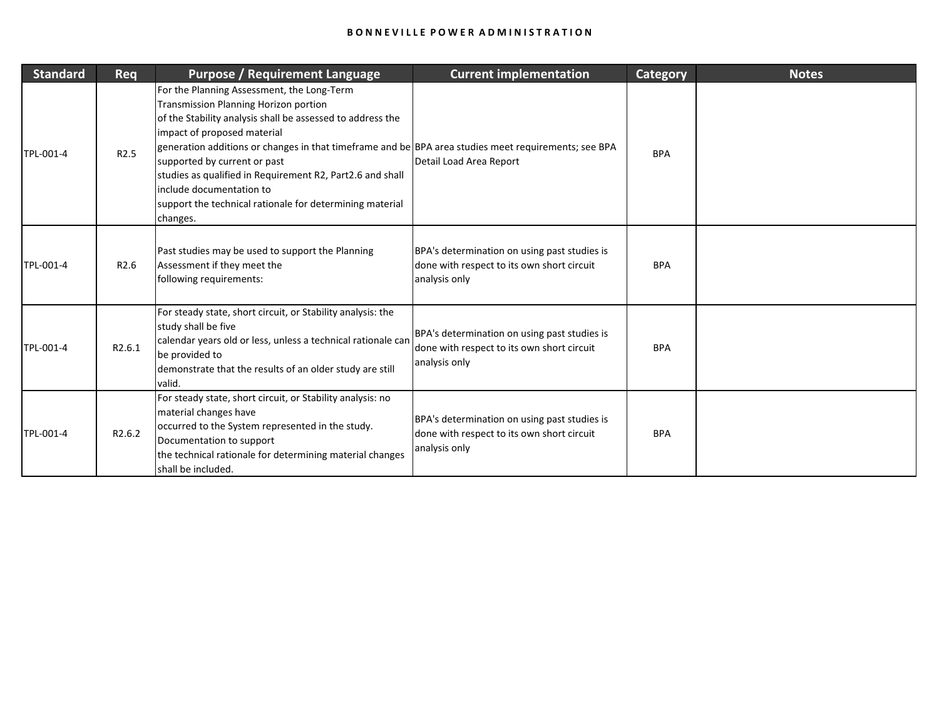| <b>Standard</b> | Req              | <b>Purpose / Requirement Language</b>                                                                                                                                                                                                                                                                                                                                                                                                                                                            | <b>Current implementation</b>                                                                               | <b>Category</b> | <b>Notes</b> |
|-----------------|------------------|--------------------------------------------------------------------------------------------------------------------------------------------------------------------------------------------------------------------------------------------------------------------------------------------------------------------------------------------------------------------------------------------------------------------------------------------------------------------------------------------------|-------------------------------------------------------------------------------------------------------------|-----------------|--------------|
| TPL-001-4       | R <sub>2.5</sub> | For the Planning Assessment, the Long-Term<br><b>Transmission Planning Horizon portion</b><br>of the Stability analysis shall be assessed to address the<br>impact of proposed material<br>generation additions or changes in that timeframe and be BPA area studies meet requirements; see BPA<br>supported by current or past<br>studies as qualified in Requirement R2, Part2.6 and shall<br>include documentation to<br>support the technical rationale for determining material<br>changes. | Detail Load Area Report                                                                                     | <b>BPA</b>      |              |
| TPL-001-4       | R <sub>2.6</sub> | Past studies may be used to support the Planning<br>Assessment if they meet the<br>following requirements:                                                                                                                                                                                                                                                                                                                                                                                       | BPA's determination on using past studies is<br>done with respect to its own short circuit<br>analysis only | <b>BPA</b>      |              |
| TPL-001-4       | R2.6.1           | For steady state, short circuit, or Stability analysis: the<br>study shall be five<br>calendar years old or less, unless a technical rationale can<br>be provided to<br>demonstrate that the results of an older study are still<br>valid.                                                                                                                                                                                                                                                       | BPA's determination on using past studies is<br>done with respect to its own short circuit<br>analysis only | <b>BPA</b>      |              |
| TPL-001-4       | R2.6.2           | For steady state, short circuit, or Stability analysis: no<br>material changes have<br>occurred to the System represented in the study.<br>Documentation to support<br>the technical rationale for determining material changes<br>shall be included.                                                                                                                                                                                                                                            | BPA's determination on using past studies is<br>done with respect to its own short circuit<br>analysis only | <b>BPA</b>      |              |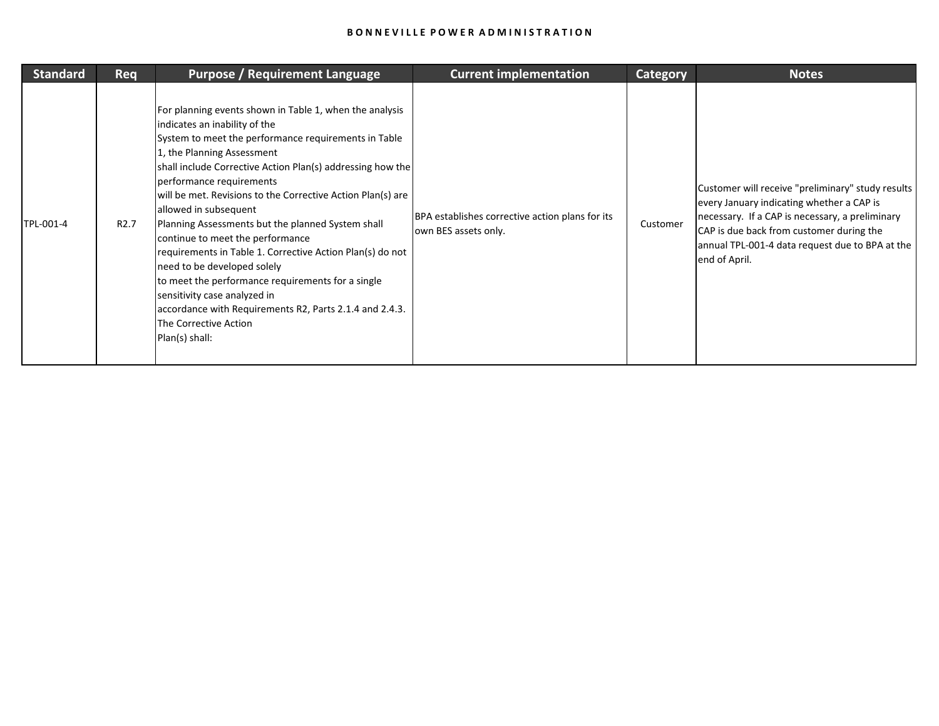| <b>Standard</b> | <b>Req</b>       | <b>Purpose / Requirement Language</b>                                                                                                                                                                                                                                                                                                                                                                                                                                                                                                                                                                                                                                                                                                            | <b>Current implementation</b>                                           | <b>Category</b> | <b>Notes</b>                                                                                                                                                                                                                                                      |
|-----------------|------------------|--------------------------------------------------------------------------------------------------------------------------------------------------------------------------------------------------------------------------------------------------------------------------------------------------------------------------------------------------------------------------------------------------------------------------------------------------------------------------------------------------------------------------------------------------------------------------------------------------------------------------------------------------------------------------------------------------------------------------------------------------|-------------------------------------------------------------------------|-----------------|-------------------------------------------------------------------------------------------------------------------------------------------------------------------------------------------------------------------------------------------------------------------|
| TPL-001-4       | R <sub>2.7</sub> | For planning events shown in Table 1, when the analysis<br>indicates an inability of the<br>System to meet the performance requirements in Table<br>1, the Planning Assessment<br>shall include Corrective Action Plan(s) addressing how the<br>performance requirements<br>will be met. Revisions to the Corrective Action Plan(s) are<br>allowed in subsequent<br>Planning Assessments but the planned System shall<br>continue to meet the performance<br>requirements in Table 1. Corrective Action Plan(s) do not<br>need to be developed solely<br>to meet the performance requirements for a single<br>sensitivity case analyzed in<br>accordance with Requirements R2, Parts 2.1.4 and 2.4.3.<br>The Corrective Action<br>Plan(s) shall: | BPA establishes corrective action plans for its<br>own BES assets only. | Customer        | Customer will receive "preliminary" study results<br>every January indicating whether a CAP is<br>necessary. If a CAP is necessary, a preliminary<br>CAP is due back from customer during the<br>annual TPL-001-4 data request due to BPA at the<br>end of April. |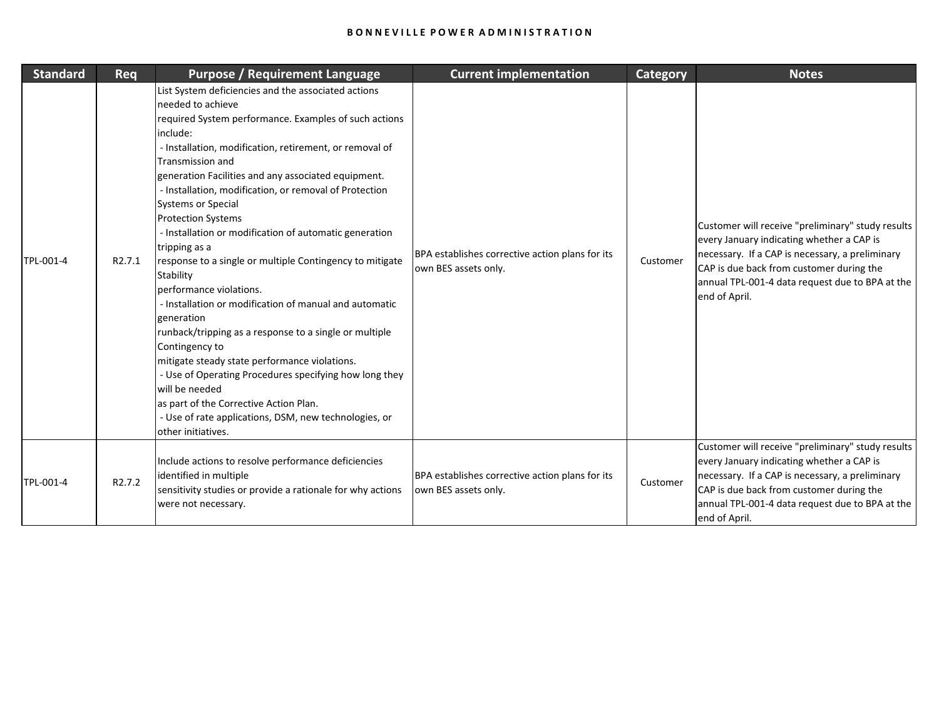| <b>Standard</b> | <b>Req</b>         | <b>Purpose / Requirement Language</b>                                                                                                                                                                                                                                                                                                                                                                                                                                                                                                                                                                                                                                                                                                                                                                                                                                                                                                                                                                   | <b>Current implementation</b>                                           | <b>Category</b> | <b>Notes</b>                                                                                                                                                                                                                                                      |
|-----------------|--------------------|---------------------------------------------------------------------------------------------------------------------------------------------------------------------------------------------------------------------------------------------------------------------------------------------------------------------------------------------------------------------------------------------------------------------------------------------------------------------------------------------------------------------------------------------------------------------------------------------------------------------------------------------------------------------------------------------------------------------------------------------------------------------------------------------------------------------------------------------------------------------------------------------------------------------------------------------------------------------------------------------------------|-------------------------------------------------------------------------|-----------------|-------------------------------------------------------------------------------------------------------------------------------------------------------------------------------------------------------------------------------------------------------------------|
| TPL-001-4       | R <sub>2.7.1</sub> | List System deficiencies and the associated actions<br>needed to achieve<br>required System performance. Examples of such actions<br>include:<br>- Installation, modification, retirement, or removal of<br><b>Transmission and</b><br>generation Facilities and any associated equipment.<br>- Installation, modification, or removal of Protection<br><b>Systems or Special</b><br><b>Protection Systems</b><br>- Installation or modification of automatic generation<br>tripping as a<br>response to a single or multiple Contingency to mitigate<br>Stability<br>performance violations.<br>- Installation or modification of manual and automatic<br>generation<br>runback/tripping as a response to a single or multiple<br>Contingency to<br>mitigate steady state performance violations.<br>- Use of Operating Procedures specifying how long they<br>will be needed<br>as part of the Corrective Action Plan.<br>- Use of rate applications, DSM, new technologies, or<br>other initiatives. | BPA establishes corrective action plans for its<br>own BES assets only. | Customer        | Customer will receive "preliminary" study results<br>every January indicating whether a CAP is<br>necessary. If a CAP is necessary, a preliminary<br>CAP is due back from customer during the<br>annual TPL-001-4 data request due to BPA at the<br>end of April. |
| TPL-001-4       | R <sub>2.7.2</sub> | Include actions to resolve performance deficiencies<br>identified in multiple<br>sensitivity studies or provide a rationale for why actions<br>were not necessary.                                                                                                                                                                                                                                                                                                                                                                                                                                                                                                                                                                                                                                                                                                                                                                                                                                      | BPA establishes corrective action plans for its<br>own BES assets only. | Customer        | Customer will receive "preliminary" study results<br>every January indicating whether a CAP is<br>necessary. If a CAP is necessary, a preliminary<br>CAP is due back from customer during the<br>annual TPL-001-4 data request due to BPA at the<br>end of April. |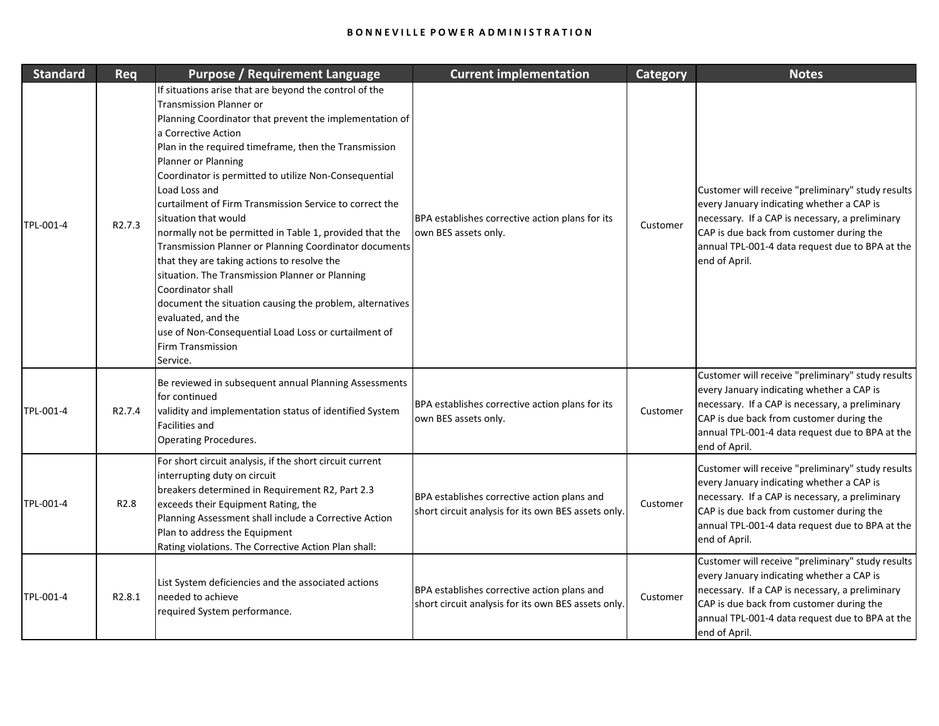| <b>Standard</b> | Req                 | <b>Purpose / Requirement Language</b>                                                                                                                                                                                                                                                                                                                                                                                                                                                                                                                                                                                                                                                                                                                                                                                                                 | <b>Current implementation</b>                                                                      | <b>Category</b> | <b>Notes</b>                                                                                                                                                                                                                                                      |
|-----------------|---------------------|-------------------------------------------------------------------------------------------------------------------------------------------------------------------------------------------------------------------------------------------------------------------------------------------------------------------------------------------------------------------------------------------------------------------------------------------------------------------------------------------------------------------------------------------------------------------------------------------------------------------------------------------------------------------------------------------------------------------------------------------------------------------------------------------------------------------------------------------------------|----------------------------------------------------------------------------------------------------|-----------------|-------------------------------------------------------------------------------------------------------------------------------------------------------------------------------------------------------------------------------------------------------------------|
| TPL-001-4       | R <sub>2.7.3</sub>  | If situations arise that are beyond the control of the<br><b>Transmission Planner or</b><br>Planning Coordinator that prevent the implementation of<br>a Corrective Action<br>Plan in the required timeframe, then the Transmission<br>Planner or Planning<br>Coordinator is permitted to utilize Non-Consequential<br>Load Loss and<br>curtailment of Firm Transmission Service to correct the<br>situation that would<br>normally not be permitted in Table 1, provided that the<br>Transmission Planner or Planning Coordinator documents<br>that they are taking actions to resolve the<br>situation. The Transmission Planner or Planning<br>Coordinator shall<br>document the situation causing the problem, alternatives<br>evaluated, and the<br>use of Non-Consequential Load Loss or curtailment of<br><b>Firm Transmission</b><br>Service. | BPA establishes corrective action plans for its<br>own BES assets only.                            | Customer        | Customer will receive "preliminary" study results<br>every January indicating whether a CAP is<br>necessary. If a CAP is necessary, a preliminary<br>CAP is due back from customer during the<br>annual TPL-001-4 data request due to BPA at the<br>end of April. |
| TPL-001-4       | R <sub>2</sub> .7.4 | Be reviewed in subsequent annual Planning Assessments<br>for continued<br>validity and implementation status of identified System<br><b>Facilities and</b><br><b>Operating Procedures.</b>                                                                                                                                                                                                                                                                                                                                                                                                                                                                                                                                                                                                                                                            | BPA establishes corrective action plans for its<br>own BES assets only.                            | Customer        | Customer will receive "preliminary" study results<br>every January indicating whether a CAP is<br>necessary. If a CAP is necessary, a preliminary<br>CAP is due back from customer during the<br>annual TPL-001-4 data request due to BPA at the<br>end of April. |
| TPL-001-4       | R <sub>2.8</sub>    | For short circuit analysis, if the short circuit current<br>interrupting duty on circuit<br>breakers determined in Requirement R2, Part 2.3<br>exceeds their Equipment Rating, the<br>Planning Assessment shall include a Corrective Action<br>Plan to address the Equipment<br>Rating violations. The Corrective Action Plan shall:                                                                                                                                                                                                                                                                                                                                                                                                                                                                                                                  | BPA establishes corrective action plans and<br>short circuit analysis for its own BES assets only. | Customer        | Customer will receive "preliminary" study results<br>every January indicating whether a CAP is<br>necessary. If a CAP is necessary, a preliminary<br>CAP is due back from customer during the<br>annual TPL-001-4 data request due to BPA at the<br>end of April. |
| TPL-001-4       | R2.8.1              | List System deficiencies and the associated actions<br>needed to achieve<br>required System performance.                                                                                                                                                                                                                                                                                                                                                                                                                                                                                                                                                                                                                                                                                                                                              | BPA establishes corrective action plans and<br>short circuit analysis for its own BES assets only. | Customer        | Customer will receive "preliminary" study results<br>every January indicating whether a CAP is<br>necessary. If a CAP is necessary, a preliminary<br>CAP is due back from customer during the<br>annual TPL-001-4 data request due to BPA at the<br>end of April. |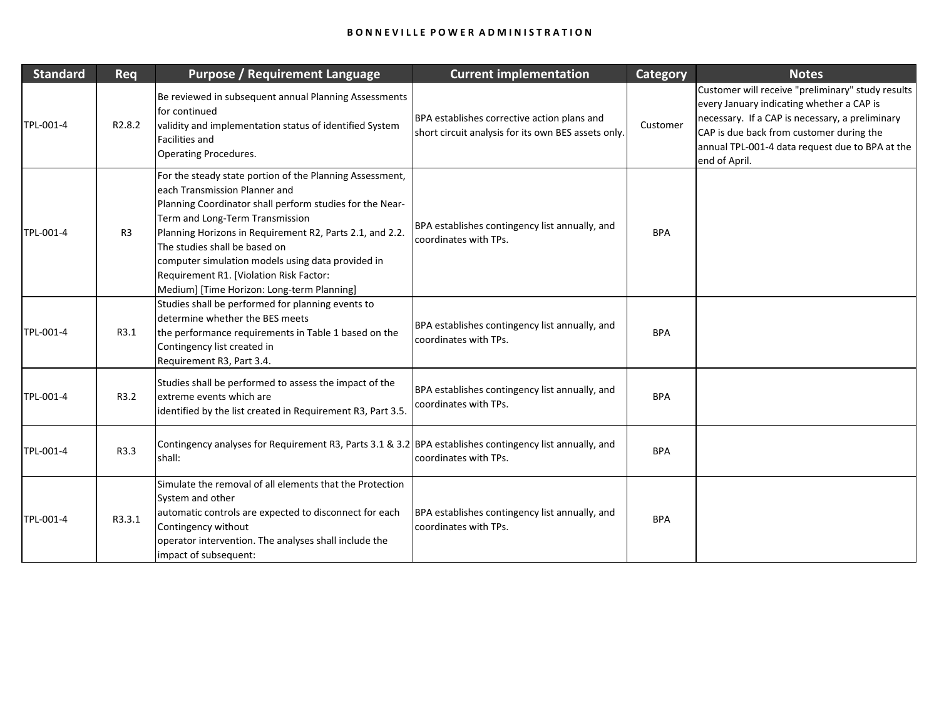| <b>Standard</b> | <b>Req</b>         | <b>Purpose / Requirement Language</b>                                                                                                                                                                                                                                                                                                                                                                                               | <b>Current implementation</b>                                                                      | <b>Category</b> | <b>Notes</b>                                                                                                                                                                                                                                                      |
|-----------------|--------------------|-------------------------------------------------------------------------------------------------------------------------------------------------------------------------------------------------------------------------------------------------------------------------------------------------------------------------------------------------------------------------------------------------------------------------------------|----------------------------------------------------------------------------------------------------|-----------------|-------------------------------------------------------------------------------------------------------------------------------------------------------------------------------------------------------------------------------------------------------------------|
| TPL-001-4       | R <sub>2.8.2</sub> | Be reviewed in subsequent annual Planning Assessments<br>for continued<br>validity and implementation status of identified System<br><b>Facilities and</b><br><b>Operating Procedures.</b>                                                                                                                                                                                                                                          | BPA establishes corrective action plans and<br>short circuit analysis for its own BES assets only. | Customer        | Customer will receive "preliminary" study results<br>every January indicating whether a CAP is<br>necessary. If a CAP is necessary, a preliminary<br>CAP is due back from customer during the<br>annual TPL-001-4 data request due to BPA at the<br>end of April. |
| TPL-001-4       | R3                 | For the steady state portion of the Planning Assessment,<br>each Transmission Planner and<br>Planning Coordinator shall perform studies for the Near-<br>Term and Long-Term Transmission<br>Planning Horizons in Requirement R2, Parts 2.1, and 2.2.<br>The studies shall be based on<br>computer simulation models using data provided in<br>Requirement R1. [Violation Risk Factor:<br>Medium] [Time Horizon: Long-term Planning] | BPA establishes contingency list annually, and<br>coordinates with TPs.                            | <b>BPA</b>      |                                                                                                                                                                                                                                                                   |
| TPL-001-4       | R3.1               | Studies shall be performed for planning events to<br>determine whether the BES meets<br>the performance requirements in Table 1 based on the<br>Contingency list created in<br>Requirement R3, Part 3.4.                                                                                                                                                                                                                            | BPA establishes contingency list annually, and<br>coordinates with TPs.                            | <b>BPA</b>      |                                                                                                                                                                                                                                                                   |
| TPL-001-4       | R3.2               | Studies shall be performed to assess the impact of the<br>extreme events which are<br>identified by the list created in Requirement R3, Part 3.5.                                                                                                                                                                                                                                                                                   | BPA establishes contingency list annually, and<br>coordinates with TPs.                            | <b>BPA</b>      |                                                                                                                                                                                                                                                                   |
| TPL-001-4       | R3.3               | Contingency analyses for Requirement R3, Parts 3.1 & 3.2 BPA establishes contingency list annually, and<br>shall:                                                                                                                                                                                                                                                                                                                   | coordinates with TPs.                                                                              | <b>BPA</b>      |                                                                                                                                                                                                                                                                   |
| TPL-001-4       | R3.3.1             | Simulate the removal of all elements that the Protection<br>System and other<br>automatic controls are expected to disconnect for each<br>Contingency without<br>operator intervention. The analyses shall include the<br>impact of subsequent:                                                                                                                                                                                     | BPA establishes contingency list annually, and<br>coordinates with TPs.                            | <b>BPA</b>      |                                                                                                                                                                                                                                                                   |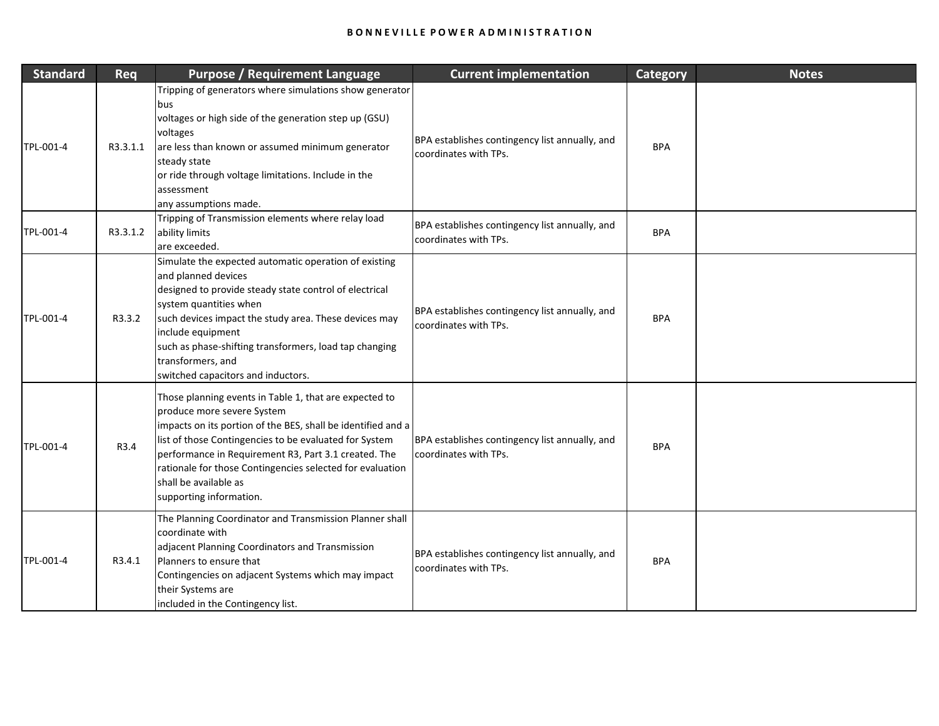| <b>Standard</b> | Req      | <b>Purpose / Requirement Language</b>                                                                                                                                                                                                                                                                                                                                                   | <b>Current implementation</b>                                           | <b>Category</b> | <b>Notes</b> |
|-----------------|----------|-----------------------------------------------------------------------------------------------------------------------------------------------------------------------------------------------------------------------------------------------------------------------------------------------------------------------------------------------------------------------------------------|-------------------------------------------------------------------------|-----------------|--------------|
| TPL-001-4       | R3.3.1.1 | Tripping of generators where simulations show generator<br>bus<br>voltages or high side of the generation step up (GSU)<br>voltages<br>are less than known or assumed minimum generator<br>steady state<br>or ride through voltage limitations. Include in the<br>assessment<br>any assumptions made.                                                                                   | BPA establishes contingency list annually, and<br>coordinates with TPs. | <b>BPA</b>      |              |
| TPL-001-4       | R3.3.1.2 | Tripping of Transmission elements where relay load<br>ability limits<br>are exceeded.                                                                                                                                                                                                                                                                                                   | BPA establishes contingency list annually, and<br>coordinates with TPs. | <b>BPA</b>      |              |
| TPL-001-4       | R3.3.2   | Simulate the expected automatic operation of existing<br>and planned devices<br>designed to provide steady state control of electrical<br>system quantities when<br>such devices impact the study area. These devices may<br>include equipment<br>such as phase-shifting transformers, load tap changing<br>transformers, and<br>switched capacitors and inductors.                     | BPA establishes contingency list annually, and<br>coordinates with TPs. | <b>BPA</b>      |              |
| TPL-001-4       | R3.4     | Those planning events in Table 1, that are expected to<br>produce more severe System<br>impacts on its portion of the BES, shall be identified and a<br>list of those Contingencies to be evaluated for System<br>performance in Requirement R3, Part 3.1 created. The<br>rationale for those Contingencies selected for evaluation<br>shall be available as<br>supporting information. | BPA establishes contingency list annually, and<br>coordinates with TPs. | <b>BPA</b>      |              |
| TPL-001-4       | R3.4.1   | The Planning Coordinator and Transmission Planner shall<br>coordinate with<br>adjacent Planning Coordinators and Transmission<br>Planners to ensure that<br>Contingencies on adjacent Systems which may impact<br>their Systems are<br>included in the Contingency list.                                                                                                                | BPA establishes contingency list annually, and<br>coordinates with TPs. | <b>BPA</b>      |              |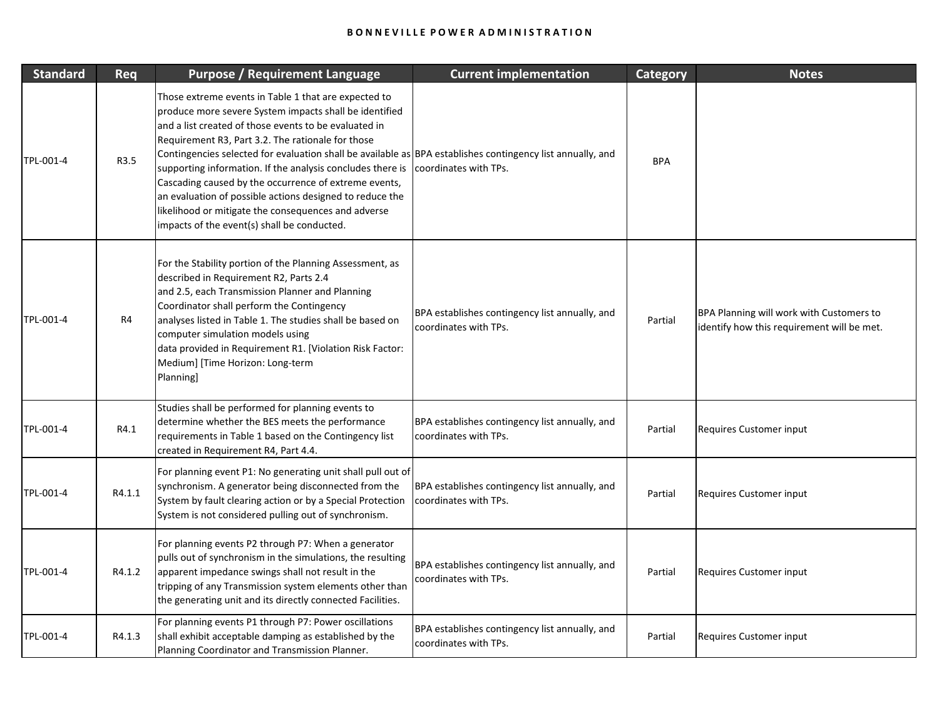| <b>Standard</b> | Req    | <b>Purpose / Requirement Language</b>                                                                                                                                                                                                                                                                                                                                                                                                                                                                                                                                                                                               | <b>Current implementation</b>                                           | <b>Category</b> | <b>Notes</b>                                                                           |
|-----------------|--------|-------------------------------------------------------------------------------------------------------------------------------------------------------------------------------------------------------------------------------------------------------------------------------------------------------------------------------------------------------------------------------------------------------------------------------------------------------------------------------------------------------------------------------------------------------------------------------------------------------------------------------------|-------------------------------------------------------------------------|-----------------|----------------------------------------------------------------------------------------|
| TPL-001-4       | R3.5   | Those extreme events in Table 1 that are expected to<br>produce more severe System impacts shall be identified<br>and a list created of those events to be evaluated in<br>Requirement R3, Part 3.2. The rationale for those<br>Contingencies selected for evaluation shall be available as BPA establishes contingency list annually, and<br>supporting information. If the analysis concludes there is<br>Cascading caused by the occurrence of extreme events,<br>an evaluation of possible actions designed to reduce the<br>likelihood or mitigate the consequences and adverse<br>impacts of the event(s) shall be conducted. | coordinates with TPs.                                                   | <b>BPA</b>      |                                                                                        |
| TPL-001-4       | R4     | For the Stability portion of the Planning Assessment, as<br>described in Requirement R2, Parts 2.4<br>and 2.5, each Transmission Planner and Planning<br>Coordinator shall perform the Contingency<br>analyses listed in Table 1. The studies shall be based on<br>computer simulation models using<br>data provided in Requirement R1. [Violation Risk Factor:<br>Medium] [Time Horizon: Long-term<br>Planning]                                                                                                                                                                                                                    | BPA establishes contingency list annually, and<br>coordinates with TPs. | Partial         | BPA Planning will work with Customers to<br>identify how this requirement will be met. |
| TPL-001-4       | R4.1   | Studies shall be performed for planning events to<br>determine whether the BES meets the performance<br>requirements in Table 1 based on the Contingency list<br>created in Requirement R4, Part 4.4.                                                                                                                                                                                                                                                                                                                                                                                                                               | BPA establishes contingency list annually, and<br>coordinates with TPs. | Partial         | Requires Customer input                                                                |
| TPL-001-4       | R4.1.1 | For planning event P1: No generating unit shall pull out of<br>synchronism. A generator being disconnected from the<br>System by fault clearing action or by a Special Protection<br>System is not considered pulling out of synchronism.                                                                                                                                                                                                                                                                                                                                                                                           | BPA establishes contingency list annually, and<br>coordinates with TPs. | Partial         | Requires Customer input                                                                |
| TPL-001-4       | R4.1.2 | For planning events P2 through P7: When a generator<br>pulls out of synchronism in the simulations, the resulting<br>apparent impedance swings shall not result in the<br>tripping of any Transmission system elements other than<br>the generating unit and its directly connected Facilities.                                                                                                                                                                                                                                                                                                                                     | BPA establishes contingency list annually, and<br>coordinates with TPs. | Partial         | Requires Customer input                                                                |
| TPL-001-4       | R4.1.3 | For planning events P1 through P7: Power oscillations<br>shall exhibit acceptable damping as established by the<br>Planning Coordinator and Transmission Planner.                                                                                                                                                                                                                                                                                                                                                                                                                                                                   | BPA establishes contingency list annually, and<br>coordinates with TPs. | Partial         | Requires Customer input                                                                |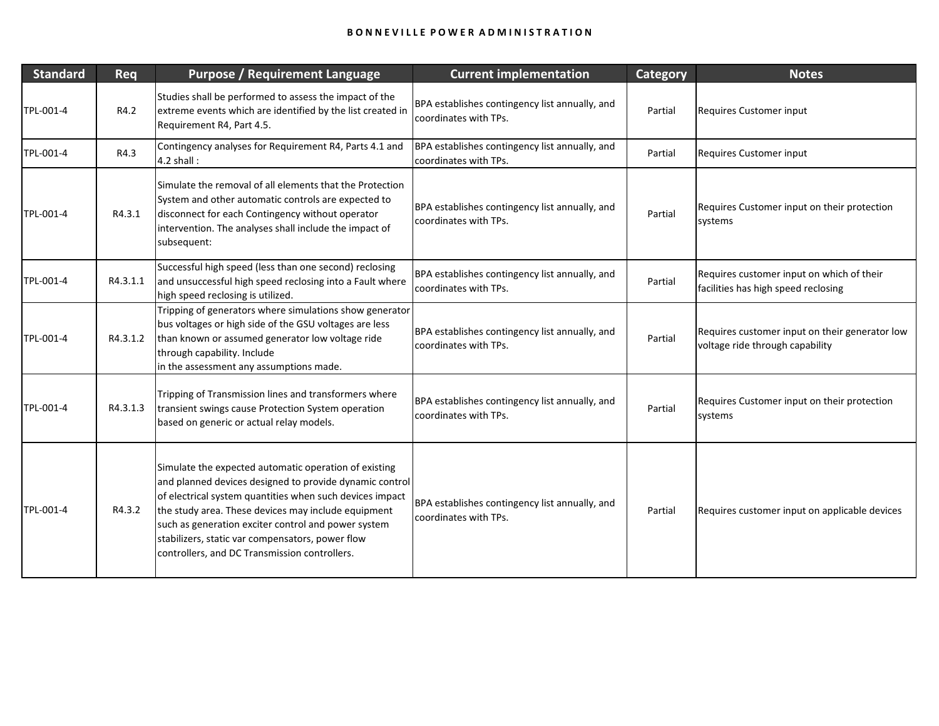| <b>Standard</b> | Req      | <b>Purpose / Requirement Language</b>                                                                                                                                                                                                                                                                                                                                                           | <b>Current implementation</b>                                           | <b>Category</b> | <b>Notes</b>                                                                      |
|-----------------|----------|-------------------------------------------------------------------------------------------------------------------------------------------------------------------------------------------------------------------------------------------------------------------------------------------------------------------------------------------------------------------------------------------------|-------------------------------------------------------------------------|-----------------|-----------------------------------------------------------------------------------|
| TPL-001-4       | R4.2     | Studies shall be performed to assess the impact of the<br>extreme events which are identified by the list created in<br>Requirement R4, Part 4.5.                                                                                                                                                                                                                                               | BPA establishes contingency list annually, and<br>coordinates with TPs. | Partial         | Requires Customer input                                                           |
| TPL-001-4       | R4.3     | Contingency analyses for Requirement R4, Parts 4.1 and<br>$4.2$ shall:                                                                                                                                                                                                                                                                                                                          | BPA establishes contingency list annually, and<br>coordinates with TPs. | Partial         | Requires Customer input                                                           |
| TPL-001-4       | R4.3.1   | Simulate the removal of all elements that the Protection<br>System and other automatic controls are expected to<br>disconnect for each Contingency without operator<br>intervention. The analyses shall include the impact of<br>subsequent:                                                                                                                                                    | BPA establishes contingency list annually, and<br>coordinates with TPs. | Partial         | Requires Customer input on their protection<br>systems                            |
| TPL-001-4       | R4.3.1.1 | Successful high speed (less than one second) reclosing<br>and unsuccessful high speed reclosing into a Fault where<br>high speed reclosing is utilized.                                                                                                                                                                                                                                         | BPA establishes contingency list annually, and<br>coordinates with TPs. | Partial         | Requires customer input on which of their<br>facilities has high speed reclosing  |
| TPL-001-4       | R4.3.1.2 | Tripping of generators where simulations show generator<br>bus voltages or high side of the GSU voltages are less<br>than known or assumed generator low voltage ride<br>through capability. Include<br>in the assessment any assumptions made.                                                                                                                                                 | BPA establishes contingency list annually, and<br>coordinates with TPs. | Partial         | Requires customer input on their generator low<br>voltage ride through capability |
| TPL-001-4       | R4.3.1.3 | Tripping of Transmission lines and transformers where<br>transient swings cause Protection System operation<br>based on generic or actual relay models.                                                                                                                                                                                                                                         | BPA establishes contingency list annually, and<br>coordinates with TPs. | Partial         | Requires Customer input on their protection<br>systems                            |
| TPL-001-4       | R4.3.2   | Simulate the expected automatic operation of existing<br>and planned devices designed to provide dynamic control<br>of electrical system quantities when such devices impact<br>the study area. These devices may include equipment<br>such as generation exciter control and power system<br>stabilizers, static var compensators, power flow<br>controllers, and DC Transmission controllers. | BPA establishes contingency list annually, and<br>coordinates with TPs. | Partial         | Requires customer input on applicable devices                                     |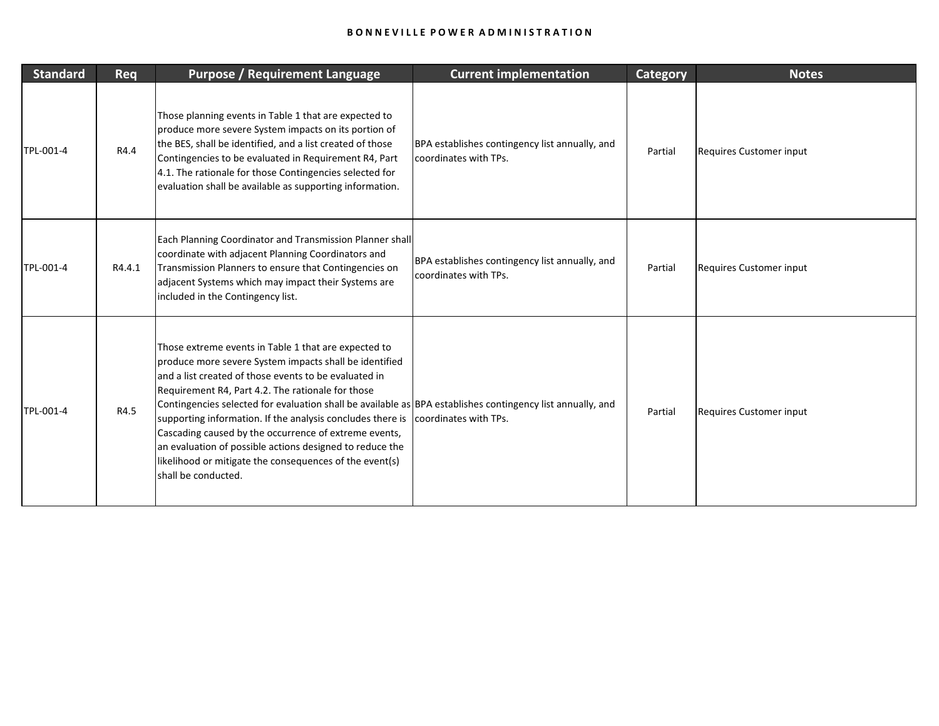| <b>Standard</b> | Req    | <b>Purpose / Requirement Language</b>                                                                                                                                                                                                                                                                                                                                                                                                                                                                                                                                                                            | <b>Current implementation</b>                                           | <b>Category</b> | <b>Notes</b>            |
|-----------------|--------|------------------------------------------------------------------------------------------------------------------------------------------------------------------------------------------------------------------------------------------------------------------------------------------------------------------------------------------------------------------------------------------------------------------------------------------------------------------------------------------------------------------------------------------------------------------------------------------------------------------|-------------------------------------------------------------------------|-----------------|-------------------------|
| TPL-001-4       | R4.4   | Those planning events in Table 1 that are expected to<br>produce more severe System impacts on its portion of<br>the BES, shall be identified, and a list created of those<br>Contingencies to be evaluated in Requirement R4, Part<br>4.1. The rationale for those Contingencies selected for<br>evaluation shall be available as supporting information.                                                                                                                                                                                                                                                       | BPA establishes contingency list annually, and<br>coordinates with TPs. | Partial         | Requires Customer input |
| TPL-001-4       | R4.4.1 | Each Planning Coordinator and Transmission Planner shall<br>coordinate with adjacent Planning Coordinators and<br>Transmission Planners to ensure that Contingencies on<br>adjacent Systems which may impact their Systems are<br>included in the Contingency list.                                                                                                                                                                                                                                                                                                                                              | BPA establishes contingency list annually, and<br>coordinates with TPs. | Partial         | Requires Customer input |
| TPL-001-4       | R4.5   | Those extreme events in Table 1 that are expected to<br>produce more severe System impacts shall be identified<br>land a list created of those events to be evaluated in<br>Requirement R4, Part 4.2. The rationale for those<br>Contingencies selected for evaluation shall be available as BPA establishes contingency list annually, and<br>supporting information. If the analysis concludes there is<br>Cascading caused by the occurrence of extreme events,<br>an evaluation of possible actions designed to reduce the<br>likelihood or mitigate the consequences of the event(s)<br>shall be conducted. | coordinates with TPs.                                                   | Partial         | Requires Customer input |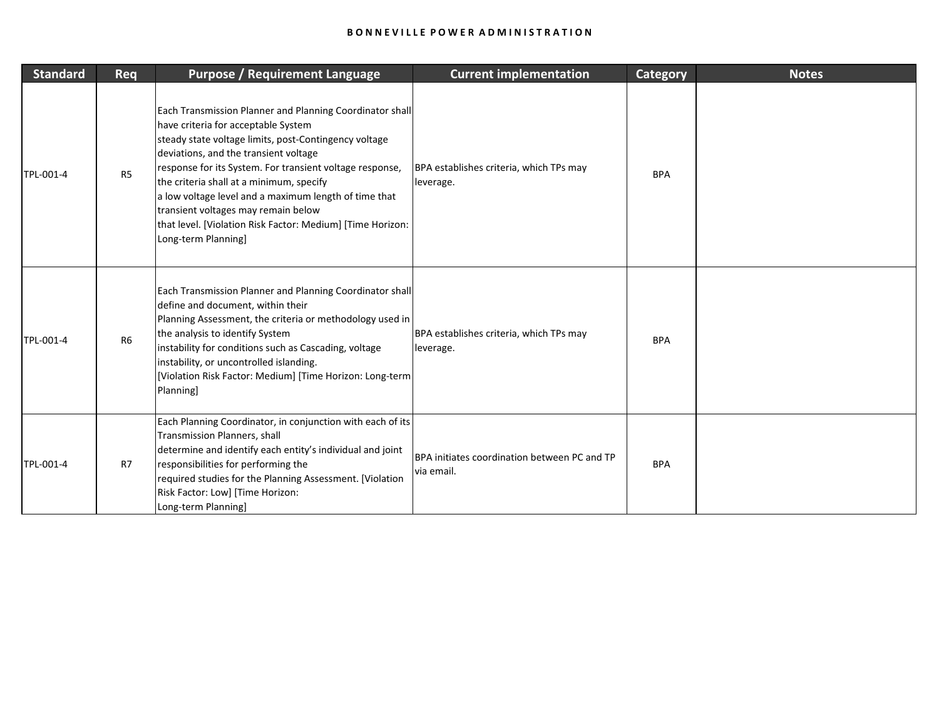| <b>Standard</b> | Req            | <b>Purpose / Requirement Language</b>                                                                                                                                                                                                                                                                                                                                                                                                                                                          | <b>Current implementation</b>                              | <b>Category</b> | <b>Notes</b> |
|-----------------|----------------|------------------------------------------------------------------------------------------------------------------------------------------------------------------------------------------------------------------------------------------------------------------------------------------------------------------------------------------------------------------------------------------------------------------------------------------------------------------------------------------------|------------------------------------------------------------|-----------------|--------------|
| TPL-001-4       | R <sub>5</sub> | Each Transmission Planner and Planning Coordinator shall<br>have criteria for acceptable System<br>steady state voltage limits, post-Contingency voltage<br>deviations, and the transient voltage<br>response for its System. For transient voltage response,<br>the criteria shall at a minimum, specify<br>a low voltage level and a maximum length of time that<br>transient voltages may remain below<br>that level. [Violation Risk Factor: Medium] [Time Horizon:<br>Long-term Planning] | BPA establishes criteria, which TPs may<br>leverage.       | <b>BPA</b>      |              |
| TPL-001-4       | <b>R6</b>      | Each Transmission Planner and Planning Coordinator shall<br>define and document, within their<br>Planning Assessment, the criteria or methodology used in<br>the analysis to identify System<br>instability for conditions such as Cascading, voltage<br>instability, or uncontrolled islanding.<br>[Violation Risk Factor: Medium] [Time Horizon: Long-term]<br><b>Planning</b>                                                                                                               | BPA establishes criteria, which TPs may<br>leverage.       | <b>BPA</b>      |              |
| TPL-001-4       | R7             | Each Planning Coordinator, in conjunction with each of its<br>Transmission Planners, shall<br>determine and identify each entity's individual and joint<br>responsibilities for performing the<br>required studies for the Planning Assessment. [Violation<br>Risk Factor: Low] [Time Horizon:<br>Long-term Planning]                                                                                                                                                                          | BPA initiates coordination between PC and TP<br>via email. | <b>BPA</b>      |              |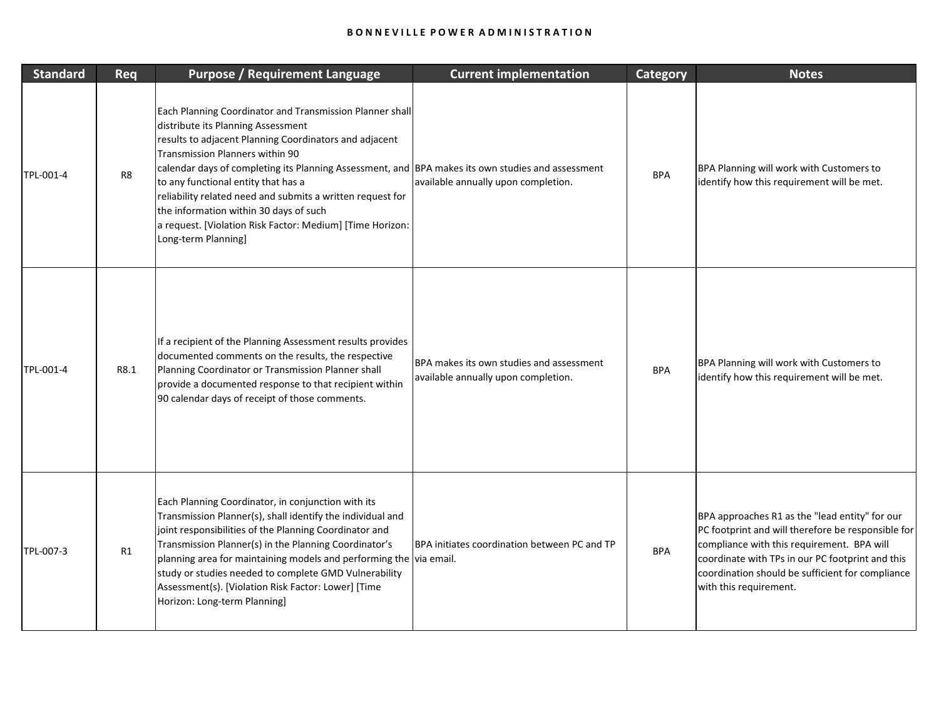| <b>Standard</b> | Req  | <b>Purpose / Requirement Language</b>                                                                                                                                                                                                                                                                                                                                                                                                                                                                                               | <b>Current implementation</b>                                                   | <b>Category</b> | <b>Notes</b>                                                                                                                                                                                                                                                                         |
|-----------------|------|-------------------------------------------------------------------------------------------------------------------------------------------------------------------------------------------------------------------------------------------------------------------------------------------------------------------------------------------------------------------------------------------------------------------------------------------------------------------------------------------------------------------------------------|---------------------------------------------------------------------------------|-----------------|--------------------------------------------------------------------------------------------------------------------------------------------------------------------------------------------------------------------------------------------------------------------------------------|
| TPL-001-4       | R8   | Each Planning Coordinator and Transmission Planner shall<br>distribute its Planning Assessment<br>results to adjacent Planning Coordinators and adjacent<br>Transmission Planners within 90<br>calendar days of completing its Planning Assessment, and BPA makes its own studies and assessment<br>to any functional entity that has a<br>reliability related need and submits a written request for<br>the information within 30 days of such<br>a request. [Violation Risk Factor: Medium] [Time Horizon:<br>Long-term Planning] | available annually upon completion.                                             | <b>BPA</b>      | BPA Planning will work with Customers to<br>identify how this requirement will be met.                                                                                                                                                                                               |
| TPL-001-4       | R8.1 | If a recipient of the Planning Assessment results provides<br>documented comments on the results, the respective<br>Planning Coordinator or Transmission Planner shall<br>provide a documented response to that recipient within<br>90 calendar days of receipt of those comments.                                                                                                                                                                                                                                                  | BPA makes its own studies and assessment<br>available annually upon completion. | <b>BPA</b>      | BPA Planning will work with Customers to<br>identify how this requirement will be met.                                                                                                                                                                                               |
| TPL-007-3       | R1   | Each Planning Coordinator, in conjunction with its<br>Transmission Planner(s), shall identify the individual and<br>joint responsibilities of the Planning Coordinator and<br>Transmission Planner(s) in the Planning Coordinator's<br>planning area for maintaining models and performing the via email.<br>study or studies needed to complete GMD Vulnerability<br>Assessment(s). [Violation Risk Factor: Lower] [Time<br>Horizon: Long-term Planning]                                                                           | BPA initiates coordination between PC and TP                                    | <b>BPA</b>      | BPA approaches R1 as the "lead entity" for our<br>PC footprint and will therefore be responsible for<br>compliance with this requirement. BPA will<br>coordinate with TPs in our PC footprint and this<br>coordination should be sufficient for compliance<br>with this requirement. |